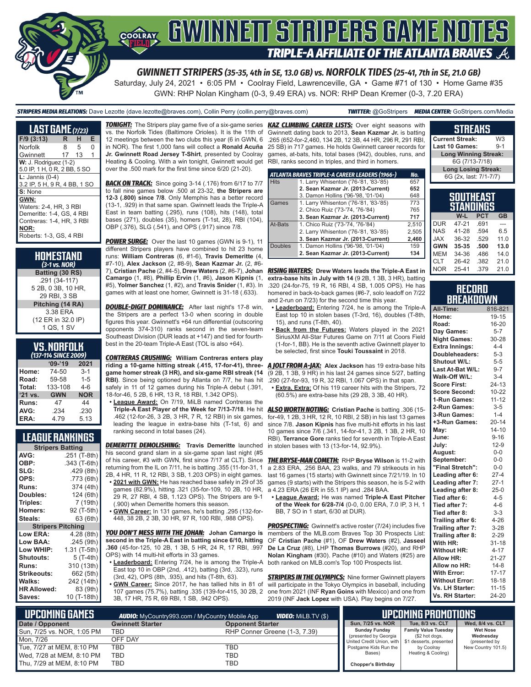

Saturday, July 24, 2021 • 6:05 PM • Coolray Field, Lawrenceville, GA • Game #71 of 130 • Home Game #35 GWN: RHP Nolan Kingham (0-3, 9.49 ERA) vs. NOR: RHP Dean Kremer (0-3, 7.20 ERA)

*STRIPERS MEDIA RELATIONS:* Dave Lezotte (dave.lezotte@braves.com), Collin Perry (collin.perry@braves.com) *TWITTER:* @GoStripers *MEDIA CENTER:* GoStripers.com/Media

| <b>LAST GAME</b> (7/23)                                                                                                     |    |    |   |  |
|-----------------------------------------------------------------------------------------------------------------------------|----|----|---|--|
| $F/9$ (3:13)                                                                                                                | R  | н  | Е |  |
| Norfolk                                                                                                                     | 8  | 5  | O |  |
| Gwinnett                                                                                                                    | 17 | 13 | 1 |  |
| $W: J.$ Rodriguez $(1-2)$<br>5.0 IP, 1 H, 0 R, 2 BB, 5 SO                                                                   |    |    |   |  |
| $L:$ Jannis (0-4)<br>3.2 IP, 5 H, 9 R, 4 BB, 1 SO                                                                           |    |    |   |  |
| S: None                                                                                                                     |    |    |   |  |
| GWN:<br>Waters: 2-4, HR, 3 RBI<br>Demeritte: 1-4, GS, 4 RBI<br>Contreras: 1-4, HR, 3 RBI<br>NOR:<br>Roberts: 1-3. GS, 4 RBI |    |    |   |  |

| HOMESTAND<br>$(3-1)$ vs. NOR) |
|-------------------------------|
| Batting (30 RS)               |
| .291 (34-117)                 |
| 5 2B, 0 3B, 10 HR,            |
| 29 RBI. 3 SB                  |
| Pitching (14 RA)              |
| 3.38 ERA                      |
| (12 ER in 32.0 IP)            |
| 1 QS, 1 SV                    |

### **VS. NORFOLK**

| (137-114 SINCE 2 <u>009)</u> |            |            |  |  |  |  |
|------------------------------|------------|------------|--|--|--|--|
|                              | $'09-'19$  | 2021       |  |  |  |  |
| Home:                        | 74-50      | $3 - 1$    |  |  |  |  |
| Road:                        | 59-58      | $1 - 5$    |  |  |  |  |
| Total:                       | 133-108    | $4-6$      |  |  |  |  |
| '21 vs.                      | <b>GWN</b> | <b>NOR</b> |  |  |  |  |
| Runs:                        | 47         | 44         |  |  |  |  |
| AVG:                         | .234       | .230       |  |  |  |  |
| ERA:                         | 4.79       | 5.13       |  |  |  |  |

### **LEAGUE RANKINGS**

| <b>Stripers Batting</b>  |              |  |  |  |  |
|--------------------------|--------------|--|--|--|--|
| AVG:                     | .251 (T-8th) |  |  |  |  |
| OBP:                     | .343 (T-6th) |  |  |  |  |
| SLG:                     | .429 (8th)   |  |  |  |  |
| OPS:                     | .773 (6th)   |  |  |  |  |
| <b>Runs:</b>             | 374 (4th)    |  |  |  |  |
| Doubles:                 | 124 (6th)    |  |  |  |  |
| Triples:                 | 7 (19th)     |  |  |  |  |
| <b>Homers:</b>           | 92 (T-5th)   |  |  |  |  |
| Steals:                  | 63 (6th)     |  |  |  |  |
| <b>Stripers Pitching</b> |              |  |  |  |  |
| <b>Low ERA:</b>          | 4.28 (8th)   |  |  |  |  |
| <b>Low BAA:</b>          | .245 (9th)   |  |  |  |  |
| Low WHIP:                | 1.31 (T-5th) |  |  |  |  |
| <b>Shutouts:</b>         | 5 (T-4th)    |  |  |  |  |
| <b>Runs:</b>             | 310 (13th)   |  |  |  |  |
| <b>Strikeouts:</b>       | 662 (5th)    |  |  |  |  |
| Walks:                   | 242 (14th)   |  |  |  |  |
| <b>HR Allowed:</b>       | 83 (9th)     |  |  |  |  |
| Saves:                   | 10 (T-18th)  |  |  |  |  |

vs. the Norfolk Tides (Baltimore Orioles). It is the 11th of Gwinnett dating back to 2013, **Sean Kazmar Jr.** is batting 12 meetings between the two clubs this year (6 in GWN, 6 in NOR). The first 1,000 fans will collect a **Ronald Acuña Jr. Gwinnett Road Jersey T-Shirt**, presented by Coolray Heating & Cooling. With a win tonight, Gwinnett would get RBI, ranks second in triples, and third in homers. over the .500 mark for the first time since 6/20 (21-20).

**BACK ON TRACK:** Since going 3-14 (.176) from 6/17 to 7/7 to fall nine games below .500 at 23-32, **the Stripers are 12-3 (.800) since 7/8**. Only Memphis has a better record (13-1, .929) in that same span. Gwinnett leads the Triple-A East in team batting (.295), runs (108), hits (148), total bases (271), doubles (35), homers (T-1st, 28), RBI (104), OBP (.376), SLG (.541), and OPS (.917) since 7/8.

**POWER SURGE:** Over the last 10 games (GWN is 9-1), 11 different Stripers players have combined to hit 23 home runs: **William Contreras** (6, #1-6), **Travis Demeritte** (4, #7-10), **Alex Jackson** (2, #8-9), **Sean Kazmar Jr.** (2, #6- **Camargo** (1, #8), **Phillip Ervin** (1, #6), **Jason Kipnis** (1, #5), **Yolmer Sanchez** (1, #2), and **Travis Snider** (1, #3). In games with at least one homer, Gwinnett is 31-18 (.633).

**DOUBLE-DIGIT DOMINANCE:** After last night's 17-8 win, the Stripers are a perfect 13-0 when scoring in double figures this year. Gwinnett's +64 run differential (outscoring opponents 374-310) ranks second in the seven-team Southeast Division (DUR leads at +147) and tied for fourthbest in the 20-team Triple-A East (TOL is also +64).

*CONTRERAS CRUSHING:* **William Contreras enters play riding a 10-game hitting streak (.415, 17-for-41), threegame homer streak (3 HR), and six-game RBI streak (14 RBI)**. Since being optioned by Atlanta on 7/7, he has hit safely in 11 of 12 games during his Triple-A debut (.391, 18-for-46, 5 2B, 6 HR, 13 R, 18 RBI, 1.342 OPS).

**• League Award:** On 7/19, MiLB named Contreras the .462 (12-for-26, 3 2B, 3 HR, 7 R, 12 RBI) in six games, leading the league in extra-base hits (T-1st, 6) and ranking second in total bases (24).

*DEMERITTE DEMOLISHING:* **Travis Demeritte** launched his second grand slam in a six-game span last night (#5 returning from the IL on 7/11, he is batting .355 (11-for-31, 1 2B, 4 HR, 11 R, 12 RBI, 3 SB, 1.203 OPS) in eight games.

- **• 2021 with GWN:** He has reached base safely in 29 of 35 games (82.9%), hitting .321 (35-for-109, 10 2B, 10 HR, 29 R, 27 RBI, 4 SB, 1.123 OPS). The Stripers are 9-1 (.900) when Demeritte homers this season.
- **• GWN Career:** In 131 games, he's batting .295 (132-for-448, 38 2B, 2 3B, 30 HR, 97 R, 100 RBI, .988 OPS).

*YOU DON'T MESS WITH THE JOHAN:* **Johan Camargo is second in the Triple-A East in batting since 6/10, hitting .360** (45-for-125, 10 2B, 1 3B, 5 HR, 24 R, 17 RBI, .997 OPS) with 14 multi-hit efforts in 33 games.

- **• Leaderboard:** Entering 7/24, he is among the Triple-A East top 10 in OBP (2nd, .412), batting (3rd, .323), runs (3rd, 42), OPS (8th, .935), and hits (T-8th, 63).
- **• GWN Career:** Since 2017, he has tallied hits in 81 of 107 games (75.7%), batting .335 (139-for-415, 30 2B, 2 3B, 17 HR, 75 R, 69 RBI, 1 SB, .942 OPS).

*TONIGHT:* The Stripers play game five of a six-game series *KAZ CLIMBING CAREER LISTS:* Over eight seasons with .265 (652-for-2,460, 134 2B, 12 3B, 44 HR, 296 R, 291 RBI, 25 SB) in 717 games. He holds Gwinnett career records for games, at-bats, hits, total bases (942), doubles, runs, and

|                | ATLANTA BRAVES TRIPLE-A CAREER LEADERS (1966-) | No.   |
|----------------|------------------------------------------------|-------|
| <b>Hits</b>    | 1. Larry Whisenton ('76-'81, '83-'85)          | 657   |
|                | 2. Sean Kazmar Jr. (2013-Current)              | 652   |
|                | 3. Damon Hollins ('96-'98, '01-'04)            | 648   |
| Games          | 1. Larry Whisenton ('76-'81, '83-'85)          | 773   |
|                | 2. Chico Ruiz ('73-'74, '76-'84)               | 765   |
|                | 3. Sean Kazmar Jr. (2013-Current)              | 717   |
| At-Bats        | 1. Chico Ruiz ('73-'74, '76-'84)               | 2,510 |
|                | 2. Larry Whisenton ('76-'81, '83-'85)          | 2,505 |
|                | 3. Sean Kazmar Jr. (2013-Current)              | 2,460 |
| <b>Doubles</b> | 1. Damon Hollins ('96-'98, '01-'04)            | 159   |
|                | 2. Sean Kazmar Jr. (2013-Current)              | 134   |

7), **Cristian Pache** (2, #4-5), **Drew Waters** (2, #6-7), **Johan**  *RISING WATERS:* **Drew Waters leads the Triple-A East in extra-base hits in July with 14** (9 2B, 1 3B, 3 HR), batting .320 (24-for-75, 19 R, 16 RBI, 4 SB, 1.005 OPS). He has homered in back-to-back games (#6-7, solo leadoff on 7/22 and 2-run on 7/23) for the second time this year.

- **• Leaderboard:** Entering 7/24, he is among the Triple-A East top 10 in stolen bases (T-3rd, 16), doubles (T-8th, 15), and runs (T-8th, 40).
- **• Back from the Futures:** Waters played in the 2021 SiriusXM All-Star Futures Game on 7/11 at Coors Field (1-for-1, BB). He is the seventh active Gwinnett player to be selected, first since **Touki Toussaint** in 2018.

*A JOLT FROM A-JAX:* **Alex Jackson** has 19 extra-base hits (9 2B, 1 3B, 9 HR) in his last 24 games since 5/27, batting .290 (27-for-93, 19 R, 32 RBI, 1.067 OPS) in that span. **• Extra, Extra:** Of his 119 career hits with the Stripers, 72

(60.5%) are extra-base hits (29 2B, 3 3B, 40 HR).

**Triple-A East Player of the Week for 7/13-7/18**. He hit *ALSO WORTH NOTING:* **Cristian Pache** is batting .306 (15 for-49, 1 2B, 3 HR, 12 R, 10 RBI, 2 SB) in his last 13 games since 7/8. **Jason Kipnis** has five multi-hit efforts in his last 10 games since 7/6 (.341, 14-for-41, 3 2B, 1 3B, 2 HR, 10 RBI). **Terrance Gore** ranks tied for seventh in Triple-A East in stolen bases with 13 (13-for-14, 92.9%).

of his career, #3 with GWN, first since 7/17 at CLT). Since *THE BRYSE-MAN COMETH:* RHP **Bryse Wilson** is 11-2 with a 2.83 ERA, .256 BAA, 23 walks, and 79 strikeouts in his last 16 games (15 starts) with Gwinnett since 7/21/19. In 10 games (9 starts) with the Stripers this season, he is 5-2 with a 4.23 ERA (26 ER in 55.1 IP) and .284 BAA.

**• League Award:** He was named **Triple-A East Pitcher of the Week for 6/28-7/4** (0-0, 0.00 ERA, 7.0 IP, 3 H, 1 BB, 7 SO in 1 start, 6/30 at DUR).

**PROSPECTING:** Gwinnett's active roster (7/24) includes five members of the MLB.com Braves Top 30 Prospects List: OF **Cristian Pache** (#1), OF **Drew Waters** (#2), **Jasseel De La Cruz** (#8), LHP **Thomas Burrows** (#20), and RHP **Nolan Kingham** (#30). Pache (#10) and Waters (#25) are both ranked on MLB.com's Top 100 Prospects list.

**STRIPERS IN THE OLYMPICS:** Nine former Gwinnett players will participate in the Tokyo Olympics in baseball, including one from 2021 (INF **Ryan Goins** with Mexico) and one from 2019 (INF **Jack Lopez** with USA). Play begins on 7/27.

| <b>Current Streak:</b>               | W <sub>3</sub> |
|--------------------------------------|----------------|
| Last 10 Games:                       | $9 - 1$        |
| <b>Long Winning Streak:</b>          |                |
| 6G (7/13-7/18)                       |                |
| <b>Long Losing Streak:</b>           |                |
| 6G (2x, last: 7/1-7/7)               |                |
|                                      |                |
| <b>SOUTHEAST</b><br><b>STANDINGS</b> |                |
|                                      |                |

**STREAKS**

| SIANUINGS  |       |            |           |  |  |
|------------|-------|------------|-----------|--|--|
|            | W-L   | <b>PCT</b> | <b>GB</b> |  |  |
| <b>DUR</b> | 47-21 | .691       |           |  |  |
| <b>NAS</b> | 41-28 | .594       | 6.5       |  |  |
| <b>JAX</b> | 36-32 | .529       | 11.0      |  |  |
| <b>GWN</b> | 35-35 | .500       | 13.0      |  |  |
| <b>MEM</b> | 34-36 | .486       | 14.0      |  |  |
| <b>CLT</b> | 26-42 | .382       | 21.0      |  |  |
| <b>NOR</b> | 25-41 | .379       | 21.0      |  |  |

|  |  | <b>RECORD</b> |  |                  |
|--|--|---------------|--|------------------|
|  |  |               |  | <b>BREAKDOWN</b> |

| All-Time:             | 816-821   |
|-----------------------|-----------|
| Home:                 | 19-15     |
| Road:                 | 16-20     |
| Day Games:            | $5 - 7$   |
| <b>Night Games:</b>   | 30-28     |
| <b>Extra Innings:</b> | $4 - 4$   |
| Doubleheaders:        | $5 - 3$   |
| Shutout W/L:          | $5-5$     |
| Last At-Bat W/L:      | $9 - 7$   |
| Walk-Off W/L:         | $3 - 4$   |
| <b>Score First:</b>   | $24 - 13$ |
| <b>Score Second:</b>  | $10 - 22$ |
| 1-Run Games:          | $11 - 12$ |
| 2-Run Games:          | $3-5$     |
| 3-Run Games:          | $1 - 4$   |
| +3-Run Games:         | $20 - 14$ |
| May:                  | $14 - 10$ |
| June:                 | $9 - 16$  |
| July:                 | $12-9$    |
| August:               | $0-0$     |
| September:            | $0-0$     |
| "Final Stretch":      | $0-0$     |
| Leading after 6:      | $27-4$    |
| Leading after 7:      | $27-1$    |
| Leading after 8:      | $25-0$    |
| Tied after 6:         | $4 - 5$   |
| Tied after 7:         | $4 - 6$   |
| Tied after 8:         | $3 - 3$   |
| Trailing after 6:     | $4 - 26$  |
| Trailing after 7:     | $3 - 28$  |
| Trailing after 8:     | $2 - 29$  |
| With HR:              | $31 - 18$ |
| <b>Without HR:</b>    | $4 - 17$  |
| <b>Allow HR:</b>      | $21 - 27$ |
| Allow no HR:          | $14 - 8$  |
| <b>With Error:</b>    | $17 - 17$ |
| <b>Without Error:</b> | 18-18     |
| Vs. LH Starter:       | $11 - 15$ |
| Vs. RH Starter:       | 24-20     |

| <b>UPCOMING GAMES !</b><br><b>VIDEO:</b> Milb.TV (\$)<br><b>AUDIO:</b> MyCountry993.com / MyCountry Mobile App |                         |                               | UPCOMING PROMOTIONS' |                                                     |                                               |                              |
|----------------------------------------------------------------------------------------------------------------|-------------------------|-------------------------------|----------------------|-----------------------------------------------------|-----------------------------------------------|------------------------------|
| Date / Opponent                                                                                                | <b>Gwinnett Starter</b> | <b>Opponent Starter</b>       |                      | <b>Sun. 7/25 vs. NOR</b>                            | Tue, 8/3 vs. CLT                              | Wed. 8/4 vs. CLT             |
| Sun, 7/25 vs. NOR, 1:05 PM                                                                                     | TBD                     | RHP Conner Greene (1-3, 7.39) |                      | <b>Sunday Funday</b><br>(presented by Georgia       | <b>Family Value Tuesday</b><br>(\$2 hot dogs, | <b>Wet Nose</b><br>Wednesdav |
| Mon, 7/26                                                                                                      | OFF DAY                 |                               |                      | United Credit Union, with   \$1 desserts, presented |                                               | (presented by                |
| Tue, 7/27 at MEM, 8:10 PM                                                                                      | TBD                     | TBD                           |                      | Postgame Kids Run the                               | by Coolray                                    | New Country 101.5)           |
| Wed, 7/28 at MEM, 8:10 PM                                                                                      | TBD                     | TBD                           |                      | Bases)                                              | Heating & Cooling)                            |                              |
| Thu, 7/29 at MEM, 8:10 PM                                                                                      | TBD                     | TBD                           |                      | <b>Chopper's Birthday</b>                           |                                               |                              |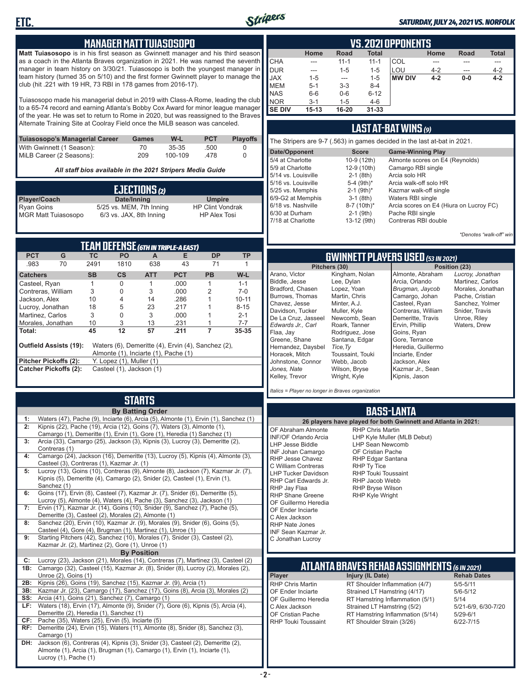

#### *SATURDAY, JULY 24, 2021 VS. NORFOLK*

#### **MANAGER MATT TUIASOSOPO**

**ETC.**

**Matt Tuiasosopo** is in his first season as Gwinnett manager and his third season as a coach in the Atlanta Braves organization in 2021. He was named the seventh manager in team history on 3/30/21. Tuiasosopo is both the youngest manager in team history (turned 35 on 5/10) and the first former Gwinnett player to manage the club (hit .221 with 19 HR, 73 RBI in 178 games from 2016-17).

Tuiasosopo made his managerial debut in 2019 with Class-A Rome, leading the club to a 65-74 record and earning Atlanta's Bobby Cox Award for minor league manager of the year. He was set to return to Rome in 2020, but was reassigned to the Braves Alternate Training Site at Coolray Field once the MiLB season was canceled.

| Tuiasosopo's Managerial Career | Games | W-L     | <b>PCT</b> | <b>Plavoffs</b> |
|--------------------------------|-------|---------|------------|-----------------|
| With Gwinnett (1 Season):      | 70.   | $35-35$ | .500       |                 |
| MiLB Career (2 Seasons):       | 209   | 100-109 | -478       |                 |

*All staff bios available in the 2021 Stripers Media Guide*

|                            | EJECTIONS (2)            |                         |
|----------------------------|--------------------------|-------------------------|
| <b>Player/Coach</b>        | Date/Inning              | <b>Umpire</b>           |
| Ryan Goins                 | 5/25 vs. MEM, 7th Inning | <b>HP Clint Vondrak</b> |
| <b>MGR Matt Tuiasosopo</b> | 6/3 vs. JAX, 8th Inning  | <b>HP Alex Tosi</b>     |

| TEAM DEFENSE (6TH IN TRIPLE-A EAST) |                                                                                                                             |           |                          |            |            |           |           |  |  |  |  |
|-------------------------------------|-----------------------------------------------------------------------------------------------------------------------------|-----------|--------------------------|------------|------------|-----------|-----------|--|--|--|--|
| <b>PCT</b>                          | G                                                                                                                           | TC.       | <b>PO</b>                | A          | Е          | DP        | ТP        |  |  |  |  |
| .983                                | 70                                                                                                                          | 2491      | 1810                     | 638        | 43         | 71        |           |  |  |  |  |
| <b>Catchers</b>                     |                                                                                                                             | <b>SB</b> | $\mathsf{cs}$            | <b>ATT</b> | <b>PCT</b> | <b>PB</b> | W-L       |  |  |  |  |
| Casteel, Ryan                       |                                                                                                                             |           | 0                        |            | .000       |           | $1 - 1$   |  |  |  |  |
| Contreras, William                  |                                                                                                                             | 3         | 0                        | 3          | .000       | 2         | $7-0$     |  |  |  |  |
| Jackson, Alex                       |                                                                                                                             | 10        | 4                        | 14         | .286       |           | $10 - 11$ |  |  |  |  |
| Lucroy, Jonathan                    |                                                                                                                             | 18        | 5                        | 23         | 217        |           | $8 - 15$  |  |  |  |  |
| Martinez, Carlos                    |                                                                                                                             | 3         | 0                        | 3          | .000       |           | $2 - 1$   |  |  |  |  |
| Morales, Jonathan                   |                                                                                                                             | 10        | 3                        | 13         | .231       |           | $7 - 7$   |  |  |  |  |
| Total:                              |                                                                                                                             | 45        | 12                       | 57         | .211       |           | 35-35     |  |  |  |  |
|                                     | <b>Outfield Assists (19):</b><br>Waters (6), Demeritte (4), Ervin (4), Sanchez (2),<br>Almonte (1), Inciarte (1), Pache (1) |           |                          |            |            |           |           |  |  |  |  |
| Pitcher Pickoffs (2):               |                                                                                                                             |           | Y. Lopez (1), Muller (1) |            |            |           |           |  |  |  |  |
|                                     | <b>Catcher Pickoffs (2):</b>                                                                                                |           | Casteel (1), Jackson (1) |            |            |           |           |  |  |  |  |

# **STARTS**

|     | <b>By Batting Order</b>                                                                                                                                       |
|-----|---------------------------------------------------------------------------------------------------------------------------------------------------------------|
| 1:  | Waters (47), Pache (9), Inciarte (6), Arcia (5), Almonte (1), Ervin (1), Sanchez (1)                                                                          |
| 2:  | Kipnis (22), Pache (19), Arcia (12), Goins (7), Waters (3), Almonte (1),                                                                                      |
|     | Camargo (1), Demeritte (1), Ervin (1), Gore (1), Heredia (1) Sanchez (1)                                                                                      |
| 3:  | Arcia (33), Camargo (25), Jackson (3), Kipnis (3), Lucroy (3), Demeritte (2),                                                                                 |
|     | Contreras (1)                                                                                                                                                 |
| 4:  | Camargo (24), Jackson (16), Demeritte (13), Lucroy (5), Kipnis (4), Almonte (3),                                                                              |
|     | Casteel (3), Contreras (1), Kazmar Jr. (1)<br>Lucroy (13), Goins (10), Contreras (9), Almonte (8), Jackson (7), Kazmar Jr. (7),                               |
| 5:  | Kipnis (5), Demeritte (4), Camargo (2), Snider (2), Casteel (1), Ervin (1),                                                                                   |
|     | Sanchez (1)                                                                                                                                                   |
| 6:  | Goins (17), Ervin (8), Casteel (7), Kazmar Jr. (7), Snider (6), Demeritte (5),                                                                                |
|     | Lucroy (5), Almonte (4), Waters (4), Pache (3), Sanchez (3), Jackson (1)                                                                                      |
| 7:  | Ervin (17), Kazmar Jr. (14), Goins (10), Snider (9), Sanchez (7), Pache (5),                                                                                  |
|     | Demeritte (3), Casteel (2), Morales (2), Almonte (1)                                                                                                          |
| 8:  | Sanchez (20), Ervin (10), Kazmar Jr. (9), Morales (9), Snider (6), Goins (5),                                                                                 |
|     | Casteel (4), Gore (4), Brugman (1), Martinez (1), Unroe (1)                                                                                                   |
| 9:  | Starting Pitchers (42), Sanchez (10), Morales (7), Snider (3), Casteel (2),                                                                                   |
|     | Kazmar Jr. (2), Martinez (2), Gore (1), Unroe (1)                                                                                                             |
|     | <b>By Position</b>                                                                                                                                            |
| C:  | Lucroy (23), Jackson (21), Morales (14), Contreras (7), Martinez (3), Casteel (2)                                                                             |
| 1B: | Camargo (32), Casteel (15), Kazmar Jr. (8), Snider (8), Lucroy (2), Morales (2),                                                                              |
|     | Unroe (2), Goins (1)                                                                                                                                          |
| 2B: | Kipnis (26), Goins (19), Sanchez (15), Kazmar Jr. (9), Arcia (1)                                                                                              |
| 3B: | Kazmar Jr. (23), Camargo (17), Sanchez (17), Goins (8), Arcia (3), Morales (2)                                                                                |
| SS: | Arcia (41), Goins (21), Sanchez (7), Camargo (1)                                                                                                              |
| LF: | Waters (18), Ervin (17), Almonte (9), Snider (7), Gore (6), Kipnis (5), Arcia (4),                                                                            |
|     | Demeritte (2), Heredia (1), Sanchez (1)                                                                                                                       |
| CF: | Pache (35), Waters (25), Ervin (5), Inciarte (5)                                                                                                              |
| RF: | Demeritte (24), Ervin (15), Waters (11), Almonte (8), Snider (8), Sanchez (3),                                                                                |
|     | Camargo (1)                                                                                                                                                   |
| DH: | Jackson (6), Contreras (4), Kipnis (3), Snider (3), Casteel (2), Demeritte (2),<br>Almonte (1), Arcia (1), Brugman (1), Camargo (1), Ervin (1), Inciarte (1), |
|     | Lucroy $(1)$ , Pache $(1)$                                                                                                                                    |
|     |                                                                                                                                                               |

|             | VS.2021 OPPONENTS                                                          |          |           |               |         |       |         |  |  |  |  |  |  |
|-------------|----------------------------------------------------------------------------|----------|-----------|---------------|---------|-------|---------|--|--|--|--|--|--|
|             | <b>Total</b><br><b>Road</b><br><b>Total</b><br>Home<br>Home<br><b>Road</b> |          |           |               |         |       |         |  |  |  |  |  |  |
| <b>CHA</b>  | ---                                                                        | $11 - 1$ | $11 - 1$  | COL           |         |       |         |  |  |  |  |  |  |
| DUR         | ---                                                                        | $1 - 5$  | $1 - 5$   | LOU           | $4 - 2$ | ---   | $4 - 2$ |  |  |  |  |  |  |
| <b>JAX</b>  | $1 - 5$                                                                    | ---      | $1 - 5$   | <b>MW DIV</b> | $4 - 2$ | $0-0$ | $4 - 2$ |  |  |  |  |  |  |
| <b>IMEM</b> | $5 - 1$                                                                    | $3 - 3$  | $8 - 4$   |               |         |       |         |  |  |  |  |  |  |
| <b>NAS</b>  | $6-6$                                                                      | $0-6$    | $6 - 12$  |               |         |       |         |  |  |  |  |  |  |
| <b>NOR</b>  | $3 - 1$                                                                    | $1 - 5$  | $4-6$     |               |         |       |         |  |  |  |  |  |  |
| I SE DIV    | $15 - 13$                                                                  | 16-20    | $31 - 33$ |               |         |       |         |  |  |  |  |  |  |

### **LAST AT-BAT WINS** *(9)*

| The Stripers are 9-7 (.563) in games decided in the last at-bat in 2021. |                          |                                         |  |  |  |  |  |  |  |
|--------------------------------------------------------------------------|--------------------------|-----------------------------------------|--|--|--|--|--|--|--|
| Date/Opponent                                                            | <b>Score</b>             | <b>Game-Winning Play</b>                |  |  |  |  |  |  |  |
| 5/4 at Charlotte                                                         | 10-9 (12th)              | Almonte scores on E4 (Reynolds)         |  |  |  |  |  |  |  |
| 5/9 at Charlotte                                                         | 12-9 (10th)              | Camargo RBI single                      |  |  |  |  |  |  |  |
| 5/14 vs. Louisville                                                      | $2-1$ (8th)              | Arcia solo HR                           |  |  |  |  |  |  |  |
| 5/16 vs. Louisville                                                      | 5-4 $(9th)*$             | Arcia walk-off solo HR                  |  |  |  |  |  |  |  |
| 5/25 vs. Memphis                                                         | $2-1$ (9th) <sup>*</sup> | Kazmar walk-off single                  |  |  |  |  |  |  |  |
| 6/9-G2 at Memphis                                                        | $3-1$ (8th)              | Waters RBI single                       |  |  |  |  |  |  |  |
| 6/18 vs. Nashville                                                       | 8-7 (10th)*              | Arcia scores on E4 (Hiura on Lucroy FC) |  |  |  |  |  |  |  |
| 6/30 at Durham                                                           | $2-1$ (9th)              | Pache RBI single                        |  |  |  |  |  |  |  |
| 7/18 at Charlotte                                                        | 13-12 (9th)              | Contreras RBI double                    |  |  |  |  |  |  |  |
|                                                                          |                          |                                         |  |  |  |  |  |  |  |

*\*Denotes "walk-off" win*

*Lucroy, Jonathan* Martinez, Carlos Morales, Jonathan Pache, Cristian Sanchez, Yolmer Snider, Travis Unroe, Riley Waters, Drew

**Pitchers (30) Position (23)**

### **GWINNETT PLAYERS USED** *(53 IN 2021)*

| Almonte, Abraham   |
|--------------------|
| Arcia, Orlando     |
| Brugman, Jaycob    |
| Camargo, Johan     |
| Casteel, Ryan      |
| Contreras, William |
| Demeritte, Travis  |
| Ervin, Phillip     |
| Goins, Ryan        |
| Gore, Terrance     |
| Heredia, Guillermo |
| Inciarte, Ender    |
| Jackson, Alex      |
| Kazmar Jr., Sean   |
| Kipnis, Jason      |
|                    |

*Italics = Player no longer in Braves organization*

#### **BASS-LANTA**

**ATLANTA BRAVES REHAB ASSIGNMENTS** *(6 IN 2021)* **Player Injury (IL Date)** RHP Chris Martin RT Shoulder Inflammation (4/7) 5/5-5/11<br>CF Ender Inciarte Strained I T Hamstring (4/17) 5/6-5/12 OF Ender Inciarte Strained LT Hamstring (4/17) 5/6-5<br>OF Guillermo Heredia RT Hamstring Inflammation (5/1) 5/14 OF Guillermo Heredia RT Hamstring Inflammation (5/1) 5/14<br>C Alex Jackson Strained LT Hamstring (5/2) 5/21-6/9, 6/30-7/20 C Alex Jackson Strained LT Hamstring (5/2) 5/21-6/9,<br>OF Cristian Pache RT Hamstring Inflammation (5/14) 5/29-6/1 OF Cristian Pache RT Hamstring Inflammation (5/14)<br>RHP Touki Toussaint RT Shoulder Strain (3/26) RT Shoulder Strain (3/26) 6/22-7/15 **26 players have played for both Gwinnett and Atlanta in 2021:** OF Abraham Almonte INF/OF Orlando Arcia LHP Jesse Biddle INF Johan Camargo RHP Jesse Chavez C William Contreras LHP Tucker Davidson RHP Carl Edwards Jr. RHP Jay Flaa RHP Shane Greene OF Guillermo Heredia OF Ender Inciarte C Alex Jackson RHP Nate Jones INF Sean Kazmar Jr. C Jonathan Lucroy RHP Chris Martin LHP Kyle Muller (MLB Debut) LHP Sean Newcomb OF Cristian Pache RHP Edgar Santana RHP Ty Tice RHP Touki Toussaint RHP Jacob Webb RHP Bryse Wilson RHP Kyle Wright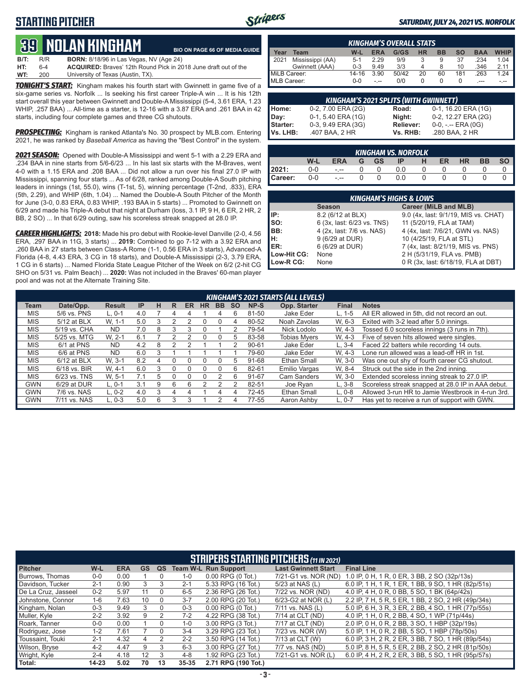## **STARTING PITCHER**



#### *SATURDAY, JULY 24, 2021 VS. NORFOLK*

# **39****NOLAN KINGHam**

**B/T:** R/R **BORN:** 8/18/96 in Las Vegas, NV (Age 24) **HT:** 6-4 **ACQUIRED:** Braves' 12th Round Pick in 2018 June draft out of the University of Texas (Austin, TX). **BIO ON PAGE 66 OF MEDIA GUIDE**

*TONIGHT'S START:* Kingham makes his fourth start with Gwinnett in game five of a six-game series vs. Norfolk ... Is seeking his first career Triple-A win ... It is his 12th start overall this year between Gwinnett and Double-A Mississippi (5-4, 3.61 ERA, 1.23 WHIP, .257 BAA) ... All-time as a starter, is 12-16 with a 3.87 ERA and .261 BAA in 42 starts, including four complete games and three CG shutouts.

*PROSPECTING:* Kingham is ranked Atlanta's No. 30 prospect by MLB.com. Entering 2021, he was ranked by *Baseball America* as having the "Best Control" in the system.

*2021 SEASON:* Opened with Double-A Mississippi and went 5-1 with a 2.29 ERA and .234 BAA in nine starts from 5/6-6/23 ... In his last six starts with the M-Braves, went 4-0 with a 1.15 ERA and .208 BAA ... Did not allow a run over his final 27.0 IP with Mississippi, spanning four starts ... As of 6/28, ranked among Double-A South pitching leaders in innings (1st, 55.0), wins (T-1st, 5), winning percentage (T-2nd, .833), ERA (5th, 2.29), and WHIP (6th, 1.04) ... Named the Double-A South Pitcher of the Month for June (3-0, 0.83 ERA, 0.83 WHIP, .193 BAA in 5 starts) ... Promoted to Gwinnett on 6/29 and made his Triple-A debut that night at Durham (loss, 3.1 IP, 9 H, 6 ER, 2 HR, 2 BB, 2 SO) ... In that 6/29 outing, saw his scoreless streak snapped at 28.0 IP.

*CAREER HIGHLIGHTS:* **2018:** Made his pro debut with Rookie-level Danville (2-0, 4.56 ERA, .297 BAA in 11G, 3 starts) ... **2019:** Combined to go 7-12 with a 3.92 ERA and .260 BAA in 27 starts between Class-A Rome (1-1, 0.56 ERA in 3 starts), Advanced-A Florida (4-8, 4.43 ERA, 3 CG in 18 starts), and Double-A Mississippi (2-3, 3.79 ERA, 1 CG in 6 starts) ... Named Florida State League Pitcher of the Week on 6/2 (2-hit CG SHO on 5/31 vs. Palm Beach) ... **2020:** Was not included in the Braves' 60-man player pool and was not at the Alternate Training Site.

| <b>KINGHAM'S OVERALL STATS</b>                                                                    |                  |         |      |       |    |    |     |      |      |  |  |  |
|---------------------------------------------------------------------------------------------------|------------------|---------|------|-------|----|----|-----|------|------|--|--|--|
| НR<br><b>WHIP</b><br>$W-L$<br>G/GS<br><b>BB</b><br><b>ERA</b><br>SΟ<br><b>BAA</b><br>Year<br>Team |                  |         |      |       |    |    |     |      |      |  |  |  |
| 2021                                                                                              | Mississippi (AA) | $5-1$   | 2.29 | 9/9   |    | 9  | 37  | .234 | 1.04 |  |  |  |
|                                                                                                   | Gwinnett (AAA)   | $0 - 3$ | 9.49 | 3/3   |    | 8  | 10  | .346 | 2.11 |  |  |  |
| MiLB Career:                                                                                      |                  | 14-16   | 3.90 | 50/42 | 20 | 60 | 181 | .263 | 1 24 |  |  |  |
| MLB Career:                                                                                       |                  | $0 - 0$ | $-1$ | 0/0   |    |    | O   | ---  | - -- |  |  |  |

| <b>KINGHAM'S 2021 SPLITS (WITH GWINNETT)</b> |                    |           |                       |  |  |  |  |  |  |  |
|----------------------------------------------|--------------------|-----------|-----------------------|--|--|--|--|--|--|--|
| Home:                                        | 0-2, 7.00 ERA (2G) | Road:     | 0-1, 16.20 ERA (1G)   |  |  |  |  |  |  |  |
| Day:                                         | 0-1, 5.40 ERA (1G) | Night:    | 0-2, 12.27 ERA (2G)   |  |  |  |  |  |  |  |
| Starter:                                     | 0-3, 9.49 ERA (3G) | Reliever: | $0-0, - -$ ERA $(0G)$ |  |  |  |  |  |  |  |
| lVs. LHB:                                    | .407 BAA, 2 HR     | Vs. RHB:  | .280 BAA, 2 HR        |  |  |  |  |  |  |  |

| KINGHAM VS. NORFOLK |                                                                                            |                          |  |                |     |   |  |  |  |  |  |  |
|---------------------|--------------------------------------------------------------------------------------------|--------------------------|--|----------------|-----|---|--|--|--|--|--|--|
|                     | <b>SO</b><br><b>BB</b><br>W-L<br><b>HR</b><br>ER<br><b>ERA</b><br>G GS<br>- H<br><b>TP</b> |                          |  |                |     |   |  |  |  |  |  |  |
| 2021:               | 0-0                                                                                        | $ -$                     |  | $\overline{0}$ | 0.0 | 0 |  |  |  |  |  |  |
| Career:             | $0-0$                                                                                      | <b>Contract Contract</b> |  | $\overline{0}$ | 0.0 | 0 |  |  |  |  |  |  |

| <b>KINGHAM'S HIGHS &amp; LOWS</b> |                            |                                      |  |  |  |  |  |  |  |  |
|-----------------------------------|----------------------------|--------------------------------------|--|--|--|--|--|--|--|--|
|                                   | <b>Season</b>              | Career (MiLB and MLB)                |  |  |  |  |  |  |  |  |
| IP:                               | 8.2 (6/12 at BLX)          | 9.0 (4x, last: 9/1/19, MIS vs. CHAT) |  |  |  |  |  |  |  |  |
| so:                               | 6 (3x, last: 6/23 vs. TNS) | 11 (5/20/19, FLA at TAM)             |  |  |  |  |  |  |  |  |
| IBB:                              | 4 (2x, last: 7/6 vs. NAS)  | 4 (4x, last: 7/6/21, GWN vs. NAS)    |  |  |  |  |  |  |  |  |
| Iн:                               | 9 (6/29 at DUR)            | 10 (4/25/19, FLA at STL)             |  |  |  |  |  |  |  |  |
| ER:                               | 6 (6/29 at DUR)            | 7 (4x, last: 8/21/19, MIS vs. PNS)   |  |  |  |  |  |  |  |  |
| Low-Hit CG:                       | <b>None</b>                | 2 H (5/31/19, FLA vs. PMB)           |  |  |  |  |  |  |  |  |
| Low-R CG:                         | None                       | 0 R (3x, last: 6/18/19, FLA at DBT)  |  |  |  |  |  |  |  |  |

|            |               |               |           |   |        |    |              |          |           |           | <b>KINGHAM'S 2021 STARTS (ALL LEVELS)</b> |           |                                                   |
|------------|---------------|---------------|-----------|---|--------|----|--------------|----------|-----------|-----------|-------------------------------------------|-----------|---------------------------------------------------|
| Team       | Date/Opp.     | <b>Result</b> | <b>IP</b> | н | R      | ER | <b>HR</b>    | BB.      | <b>SO</b> | NP-S      | Opp. Starter                              | Final     | <b>Notes</b>                                      |
| <b>MIS</b> | 5/6 vs. PNS   | L. 0-1        | 4.0       |   |        |    |              |          |           | 81-50     | Jake Eder                                 | L. 1-5    | All ER allowed in 5th, did not record an out.     |
| <b>MIS</b> | 5/12 at BLX   | W. 1-1        | 5.0       | 3 |        |    | 0            |          |           | 80-52     | Noah Zavolas                              | W. 6-3    | Exited with 3-2 lead after 5.0 innings.           |
| <b>MIS</b> | 5/19 vs. CHA  | <b>ND</b>     | 7.0       | 8 | 3      | 3  |              |          |           | 79-54     | Nick Lodolo                               | W. 4-3    | Tossed 6.0 scoreless innings (3 runs in 7th).     |
| <b>MIS</b> | 5/25 vs. MTG  | W. 2-1        | 6.1       |   |        |    | <sup>n</sup> | U        | 'n.       | 83-58     | <b>Tobias Mvers</b>                       | W. 4-3    | Five of seven hits allowed were singles.          |
| <b>MIS</b> | 6/1 at PNS    | <b>ND</b>     | 4.2       | 8 |        |    |              |          |           | $90 - 61$ | <b>Jake Eder</b>                          | $L.3 - 4$ | Faced 22 batters while recording 14 outs.         |
| <b>MIS</b> | 6/6 at PNS    | ND.           | 6.0       | ঽ |        |    |              |          |           | 79-60     | Jake Eder                                 | W. 4-3    | Lone run allowed was a lead-off HR in 1st.        |
| <b>MIS</b> | $6/12$ at BLX | W. 3-1        | 8.2       |   |        | O  |              |          | .h        | 91-68     | Ethan Small                               | W. 3-0    | Was one out shy of fourth career CG shutout.      |
| <b>MIS</b> | 6/18 vs. BIR  | W. 4-1        | 6.0       | 3 | 0      | 0  |              | $\Omega$ | 6         | 82-61     | <b>Emilio Vargas</b>                      | W. 8-4    | Struck out the side in the 2nd inning.            |
| <b>MIS</b> | 6/23 vs. TNS  | W. 5-1        |           | 5 | $\cup$ | 0  |              |          | 6         | 91-67     | Cam Sanders                               | W. 3-0    | Extended scoreless inning streak to 27.0 IP.      |
| <b>GWN</b> | 6/29 at DUR   | L. 0-1        | 3.1       | 9 | 6      | 6  |              |          |           | 82-51     | Joe Rvan                                  | $L.3-8$   | Scoreless streak snapped at 28.0 IP in AAA debut. |
| <b>GWN</b> | 7/6 vs. NAS   | $L.0-2$       | 4.0       | 3 |        |    |              | 4        | 4         | 72-45     | Ethan Small                               | $L.0-8$   | Allowed 3-run HR to Jamie Westbrook in 4-run 3rd. |
| <b>GWN</b> | 7/11 vs. NAS  | $L, 0-3$      | 5.0       | 6 | 3      |    |              |          |           | 77-55     | Aaron Ashby                               | L. 0-7    | Has yet to receive a run of support with GWN.     |
|            |               |               |           |   |        |    |              |          |           |           |                                           |           |                                                   |

| <b>STRIPERS STARTING PITCHERS (11 IN 2021)</b> |           |            |           |    |         |                             |                            |                                                    |  |  |  |
|------------------------------------------------|-----------|------------|-----------|----|---------|-----------------------------|----------------------------|----------------------------------------------------|--|--|--|
| <b>Pitcher</b>                                 | W-L       | <b>ERA</b> | <b>GS</b> | QS |         | <b>Team W-L Run Support</b> | <b>Last Gwinnett Start</b> | <b>Final Line</b>                                  |  |  |  |
| Burrows, Thomas                                | $0 - 0$   | 0.00       |           |    | $1 - 0$ | $0.00$ RPG $(0$ Tot.)       | 7/21-G1 vs. NOR (ND)       | 1.0 IP, 0 H, 1 R, 0 ER, 3 BB, 2 SO (32p/13s)       |  |  |  |
| Davidson, Tucker                               | $2 - 1$   | 0.90       |           |    | $2 - 1$ | 5.33 RPG (16 Tot.)          | 5/23 at NAS (L)            | 6.0 IP, 1 H, 1 R, 1 ER, 1 BB, 9 SO, 1 HR (82p/51s) |  |  |  |
| De La Cruz. Jasseel                            | $0 - 2$   | 5.97       | 11        |    | $6 - 5$ | 2.36 RPG (26 Tot.)          | 7/22 vs. NOR (ND)          | 4.0 IP, 4 H, 0 R, 0 BB, 5 SO, 1 BK (64p/42s)       |  |  |  |
| Johnstone, Connor                              | 1-6       | 7.63       | 10        |    | $3 - 7$ | 2.00 RPG (20 Tot.)          | 6/23-G2 at NOR (L)         | 2.2 IP, 7 H, 5 R, 5 ER, 1 BB, 2 SO, 2 HR (49p/34s) |  |  |  |
| Kingham, Nolan                                 | $0 - 3$   | 9.49       |           |    | $0 - 3$ | $0.00$ RPG $(0)$ Tot.)      | 7/11 vs. NAS (L)           | 5.0 IP, 6 H, 3 R, 3 ER, 2 BB, 4 SO, 1 HR (77p/55s) |  |  |  |
| Muller, Kyle                                   | $2 - 2$   | 3.92       | 9         |    | $7-2$   | 4.22 RPG (38 Tot.)          | 7/14 at CLT (ND)           | 4.0 IP, 1 H, 0 R, 2 BB, 4 SO, 1 WP (71p/44s)       |  |  |  |
| Roark, Tanner                                  | $0-0$     | 0.00       |           |    | 1-0     | 3.00 RPG (3 Tot.)           | 7/17 at CLT (ND)           | 2.0 IP. 0 H. 0 R. 2 BB. 3 SO. 1 HBP (32p/19s)      |  |  |  |
| Rodriguez, Jose                                | 1-2       | 7.61       |           |    | $3 - 4$ | 3.29 RPG (23 Tot.)          | 7/23 vs. NOR (W)           | 5.0 IP, 1 H, 0 R, 2 BB, 5 SO, 1 HBP (78p/50s)      |  |  |  |
| Toussaint, Touki                               | $2 - 1$   | 4.32       | 4         |    | $2 - 2$ | 3.50 RPG (14 Tot.)          | 7/13 at CLT (W)            | 6.0 IP, 3 H, 2 R, 2 ER, 3 BB, 7 SO, 1 HR (89p/54s) |  |  |  |
| Wilson, Bryse                                  | $4 - 2$   | 4.47       | 9         | з  | $6 - 3$ | 3.00 RPG (27 Tot.)          | 7/7 vs. NAS (ND)           | 5.0 IP, 8 H, 5 R, 5 ER, 2 BB, 2 SO, 2 HR (81p/50s) |  |  |  |
| Wright, Kyle                                   | $2 - 4$   | 4.18       | 12        | 3  | $4 - 8$ | 1.92 RPG (23 Tot.)          | 7/21-G1 vs. NOR (L)        | 6.0 IP, 4 H, 2 R, 2 ER, 3 BB, 5 SO, 1 HR (95p/57s) |  |  |  |
| Total:                                         | $14 - 23$ | 5.02       | 70        | 13 | 35-35   | 2.71 RPG (190 Tot.)         |                            |                                                    |  |  |  |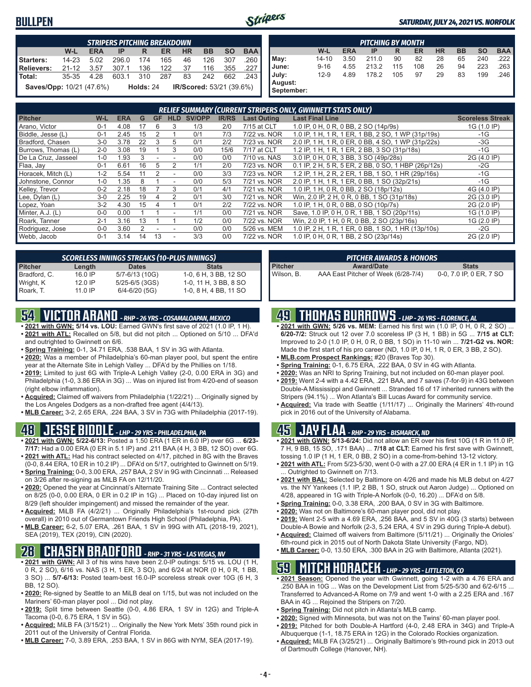### **BULLPEN**



#### *SATURDAY, JULY 24, 2021 VS. NORFOLK*

|                                                                        | <b>STRIPERS PITCHING BREAKDOWN</b>                                                       |      |       |       |     |    |     |     |      |  |  |  |  |
|------------------------------------------------------------------------|------------------------------------------------------------------------------------------|------|-------|-------|-----|----|-----|-----|------|--|--|--|--|
|                                                                        | <b>BAA</b><br>W-L<br><b>BB</b><br><b>HR</b><br><b>SO</b><br><b>ERA</b><br>ER.<br>IP<br>R |      |       |       |     |    |     |     |      |  |  |  |  |
| Starters:                                                              | $14 - 23$                                                                                | 5.02 | 296.0 | - 174 | 165 | 46 | 126 | 307 | .260 |  |  |  |  |
| Relievers:                                                             | $21 - 12$                                                                                | 3.57 | 307.1 | 136   | 122 | 37 | 116 | 355 | .227 |  |  |  |  |
| Total:                                                                 | 35-35                                                                                    | 4.28 | 603.1 | 310   | 287 | 83 | 242 | 662 | .243 |  |  |  |  |
| L<br>Saves/Opp: 10/21 (47.6%)<br>IR/Scored: 53/21 (39.6%)<br>Holds: 24 |                                                                                          |      |       |       |     |    |     |     |      |  |  |  |  |

| <b>PITCHING BY MONTH</b> |           |            |       |     |     |           |           |           |            |  |
|--------------------------|-----------|------------|-------|-----|-----|-----------|-----------|-----------|------------|--|
|                          | W-L       | <b>ERA</b> | IP    | R   | ER  | <b>HR</b> | <b>BB</b> | <b>SO</b> | <b>BAA</b> |  |
| May:                     | $14 - 10$ | 3.50       | 211.0 | 90  | 82  | 28        | 65        | 240       | 222        |  |
| June:                    | $9 - 16$  | 4.55       | 213.2 | 115 | 108 | 26        | 94        | 223       | 263        |  |
| July:                    | $12-9$    | 4.89       | 178.2 | 105 | 97  | 29        | 83        | 199       | .246       |  |
| August:                  |           |            |       |     |     |           |           |           |            |  |
| September:               |           |            |       |     |     |           |           |           |            |  |

| RELIEF SUMMARY (CURRENT STRIPERS ONLY, GWINNETT STATS ONLY) |         |            |    |           |               |        |              |                    |                                                     |                         |  |
|-------------------------------------------------------------|---------|------------|----|-----------|---------------|--------|--------------|--------------------|-----------------------------------------------------|-------------------------|--|
| <b>Pitcher</b>                                              | W-L     | <b>ERA</b> | G  | <b>GF</b> | <b>HLD</b>    | SV/OPP | <b>IR/RS</b> | <b>Last Outing</b> | <b>Last Final Line</b>                              | <b>Scoreless Streak</b> |  |
| Arano. Victor                                               | $0 - 1$ | 4.08       | 17 | 6         | 3             | 1/3    | 2/0          | 7/15 at CLT        | 1.0 IP, 0 H, 0 R, 0 BB, 2 SO (14p/9s)               | 1G (1.0 IP)             |  |
| Biddle, Jesse (L)                                           | $0 - 1$ | 2.45       | 15 | 2         |               | 0/1    | 7/3          | 7/22 vs. NOR       | 1.0 IP, 1 H, 1 R, 1 ER, 1 BB, 2 SO, 1 WP (31p/19s)  | $-1G$                   |  |
| Bradford, Chasen                                            | $3-0$   | 3.78       | 22 | 3         | 5             | 0/1    | 2/2          | 7/23 vs. NOR       | 2.0 IP, 1 H, 1 R, 0 ER, 0 BB, 4 SO, 1 WP (31p/22s)  | $-3G$                   |  |
| Burrows, Thomas (L)                                         | $2 - 0$ | 3.08       | 19 |           | 3             | 0/0    | 15/6         | 7/17 at CLT        | 1.2 IP, 1 H, 1 R, 1 ER, 2 BB, 3 SO (31p/18s)        | $-1G$                   |  |
| De La Cruz, Jasseel                                         | $1 - 0$ | .93        |    |           |               | 0/0    | 0/0          | 7/10 vs. NAS       | 3.0 IP, 0 H, 0 R, 3 BB, 3 SO (49p/28s)              | 2G (4.0 IP)             |  |
| Flaa, Jay                                                   | $0 - 1$ | 6.61       | 16 | 5         | $\mathcal{P}$ | 1/1    | 2/0          | 7/23 vs. NOR       | 0.1 IP, 2 H, 5 R, 5 ER, 2 BB, 0 SO, 1 HBP (26p/12s) | -2G                     |  |
| Horacek, Mitch (L)                                          | $1 - 2$ | 5.54       |    |           |               | 0/0    | 3/3          | 7/23 vs. NOR       | 1.2 IP, 1 H, 2 R, 2 ER, 1 BB, 1 SO, 1 HR (29p/16s)  | $-1G$                   |  |
| Johnstone, Connor                                           | $1 - 0$ | .35        |    |           |               | 0/0    | 5/3          | 7/21 vs. NOR       | 2.0 IP, 1 H, 1 R, 1 ER, 0 BB, 1 SO (32p/21s)        | $-1G$                   |  |
| Kelley, Trevor                                              | $0 - 2$ | 2.18       | 18 |           | 3             | 0/1    | 4/1          | 7/21 vs. NOR       | 1.0 IP, 1 H, 0 R, 0 BB, 2 SO (18p/12s)              | 4G (4.0 IP)             |  |
| Lee, Dylan (L)                                              | $3-0$   | 2.25       | 19 |           | 2             | 0/1    | 3/0          | 7/21 vs. NOR       | Win, 2.0 IP, 2 H, 0 R, 0 BB, 1 SO (31p/18s)         | 2G (3.0 IP)             |  |
| Lopez, Yoan                                                 | $3-2$   | 4.30       | 15 |           |               | 0/1    | 2/2          | 7/22 vs. NOR       | 1.0 IP, 1 H, 0 R, 0 BB, 0 SO (10p/7s)               | 2G (2.0 IP)             |  |
| Minter, A.J. (L)                                            | $0 - 0$ | 0.00       |    |           |               | 1/1    | 0/0          | 7/21 vs. NOR       | Save, 1.0 IP, 0 H, 0 R, 1 BB, 1 SO (20p/11s)        | 1G (1.0 IP)             |  |
| Roark, Tanner                                               | $2 - 1$ | 3.16       | 13 |           |               | 1/2    | 0/0          | 7/22 vs. NOR       | Win, 2.0 IP, 1 H, 0 R, 0 BB, 2 SO (23p/16s)         | 1G (2.0 IP)             |  |
| Rodriguez, Jose                                             | $0 - 0$ | 3.60       |    |           |               | 0/0    | 0/0          | 5/26 vs. MEM       | 1.0 IP, 2 H, 1 R, 1 ER, 0 BB, 1 SO, 1 HR (13p/10s)  | $-2G$                   |  |
| Webb, Jacob                                                 | $0 - 1$ | 3.14       | 14 | 13        |               | 3/3    | 0/0          | 7/22 vs. NOR       | 1.0 IP, 0 H, 0 R, 1 BB, 2 SO (23p/14s)              | 2G (2.0 IP)             |  |

| <b>SCORELESS INNINGS STREAKS (10-PLUS INNINGS)</b> |           |                    |                       |  |  |  |  |  |  |
|----------------------------------------------------|-----------|--------------------|-----------------------|--|--|--|--|--|--|
| <b>Pitcher</b>                                     | Length    | <b>Dates</b>       | <b>Stats</b>          |  |  |  |  |  |  |
| Bradford, C.                                       | 16.0 IP   | 5/7-6/13 (10G)     | 1-0, 6 H, 3 BB, 12 SO |  |  |  |  |  |  |
| Wright, K                                          | $12.0$ IP | $5/25 - 6/5$ (3GS) | 1-0, 11 H, 3 BB, 8 SO |  |  |  |  |  |  |
| Roark, T.                                          | $11.0$ IP | $6/4 - 6/20$ (5G)  | 1-0, 8 H, 4 BB, 11 SO |  |  |  |  |  |  |

## **54 VICTOR ARANO** *- RHP - 26 YRS - COSAMALOAPAN, MEXICO*

- **• 2021 with GWN: 5/14 vs. LOU:** Earned GWN's first save of 2021 (1.0 IP, 1 H). **• 2021 with ATL:** Recalled on 5/8, but did not pitch ... Optioned on 5/10 ... DFA'd and outrighted to Gwinnett on 6/6.
- **• Spring Training:** 0-1, 34.71 ERA, .538 BAA, 1 SV in 3G with Atlanta.
- **• 2020:** Was a member of Philadelphia's 60-man player pool, but spent the entire year at the Alternate Site in Lehigh Valley ... DFA'd by the Phillies on 1/18.
- **• 2019:** Limited to just 6G with Triple-A Lehigh Valley (2-0, 0.00 ERA in 3G) and Philadelphia (1-0, 3.86 ERA in 3G) ... Was on injured list from 4/20-end of season (right elbow inflammation).
- **• Acquired:** Claimed off waivers from Philadelphia (1/22/21) ... Originally signed by the Los Angeles Dodgers as a non-drafted free agent (4/4/13).
- **• MLB Career:** 3-2, 2.65 ERA, .224 BAA, 3 SV in 73G with Philadelphia (2017-19).

### **48 JESSE BIDDLE** *- LHP - 29 YRS - PHILADELPHIA, PA*

- **• 2021 with GWN: 5/22-6/13:** Posted a 1.50 ERA (1 ER in 6.0 IP) over 6G ... **6/23- 7/17:** Had a 0.00 ERA (0 ER in 5.1 IP) and .211 BAA (4 H, 3 BB, 12 SO) over 6G. **• 2021 with ATL:** Had his contract selected on 4/17, pitched in 8G with the Braves
- (0-0, 8.44 ERA, 10 ER in 10.2 IP) ... DFA'd on 5/17, outrighted to Gwinnett on 5/19. **• Spring Training:** 0-0, 3.00 ERA, .257 BAA, 2 SV in 9G with Cincinnati ... Released
- on 3/26 after re-signing as MiLB FA on 12/11/20. **• 2020:** Opened the year at Cincinnati's Alternate Training Site ... Contract selected on 8/25 (0-0, 0.00 ERA, 0 ER in 0.2 IP in 1G) ... Placed on 10-day injured list on
- 8/29 (left shoulder impingement) and missed the remainder of the year. **• Acquired:** MiLB FA (4/2/21) ... Originally Philadelphia's 1st-round pick (27th
- overall) in 2010 out of Germantown Friends High School (Philadelphia, PA). **• MLB Career:** 6-2, 5.07 ERA, .261 BAA, 1 SV in 99G with ATL (2018-19, 2021), SEA (2019), TEX (2019), CIN (2020).

## **28 CHASEN BRADFORD** *- RHP - 31 YRS - LAS VEGAS, NV*

- **• 2021 with GWN:** All 3 of his wins have been 2.0-IP outings: 5/15 vs. LOU (1 H, 0 R, 2 SO), 6/16 vs. NAS (3 H, 1 ER, 3 SO), and 6/24 at NOR (0 H, 0 R, 1 BB, 3 SO) ... **5/7-6/13:** Posted team-best 16.0-IP scoreless streak over 10G (6 H, 3 BB, 12 SO).
- **• 2020:** Re-signed by Seattle to an MiLB deal on 1/15, but was not included on the Mariners' 60-man player pool ... Did not play.
- **• 2019:** Split time between Seattle (0-0, 4.86 ERA, 1 SV in 12G) and Triple-A Tacoma (0-0, 6.75 ERA, 1 SV in 5G).
- **• Acquired:** MiLB FA (3/15/21) ... Originally the New York Mets' 35th round pick in 2011 out of the University of Central Florida.
- **• MLB Career:** 7-0, 3.89 ERA, .253 BAA, 1 SV in 86G with NYM, SEA (2017-19).

|                | <b>PITCHER AWARDS &amp; HONORS</b>  |                         |
|----------------|-------------------------------------|-------------------------|
| <b>Pitcher</b> | <b>Award/Date</b>                   | <b>Stats</b>            |
| Wilson, B.     | AAA East Pitcher of Week (6/28-7/4) | 0-0, 7.0 IP, 0 ER, 7 SO |

### **49 THOMAS BURROWS** *- LHP - 26 YRS - FLORENCE, AL*

- **• 2021 with GWN: 5/26 vs. MEM:** Earned his first win (1.0 IP, 0 H, 0 R, 2 SO) ... **6/20-7/2:** Struck out 12 over 7.0 scoreless IP (3 H, 1 BB) in 5G ... **7/15 at CLT:** Improved to 2-0 (1.0 IP, 0 H, 0 R, 0 BB, 1 SO) in 11-10 win ... **7/21-G2 vs. NOR:** Made the first start of his pro career (ND, 1.0 IP, 0 H, 1 R, 0 ER, 3 BB, 2 SO).
- **• MLB.com Prospect Rankings:** #20 (Braves Top 30).
- **• Spring Training:** 0-1, 6.75 ERA, .222 BAA, 0 SV in 4G with Atlanta.
- **• 2020:** Was an NRI to Spring Training, but not included on 60-man player pool.
- **• 2019:** Went 2-4 with a 4.42 ERA, .221 BAA, and 7 saves (7-for-9) in 43G between Double-A Mississippi and Gwinnett ... Stranded 16 of 17 inherited runners with the Stripers (94.1%) ... Won Atlanta's Bill Lucas Award for community service.
- **• Acquired:** Via trade with Seattle (1/11/17) ... Originally the Mariners' 4th-round pick in 2016 out of the University of Alabama.

## **45 JAY FLAA** *- RHP - 29 YRS - BISMARCK, ND*

- **• 2021 with GWN: 5/13-6/24:** Did not allow an ER over his first 10G (1 R in 11.0 IP, 7 H, 9 BB, 15 SO, .171 BAA) ... **7/18 at CLT:** Earned his first save with Gwinnett, tossing 1.0 IP (1 H, 1 ER, 0 BB, 2 SO) in a come-from-behind 13-12 victory.
- **• 2021 with ATL:** From 5/23-5/30, went 0-0 with a 27.00 ERA (4 ER in 1.1 IP) in 1G Outrighted to Gwinnett on 7/13.
- **• 2021 with BAL:** Selected by Baltimore on 4/26 and made his MLB debut on 4/27 vs. the NY Yankees (1.1 IP, 2 BB, 1 SO, struck out Aaron Judge) ... Optioned on 4/28, appeared in 1G with Triple-A Norfolk (0-0, 16.20) ... DFA'd on 5/8.
- **• Spring Training:** 0-0, 3.38 ERA, .200 BAA, 0 SV in 3G with Baltimore.
- **• 2020:** Was not on Baltimore's 60-man player pool, did not play.
- **• 2019:** Went 2-5 with a 4.69 ERA, .256 BAA, and 5 SV in 40G (3 starts) between Double-A Bowie and Norfolk (2-3, 5.24 ERA, 4 SV in 29G during Triple-A debut).
- **• Acquired:** Claimed off waivers from Baltimore (5/11/21) ... Originally the Orioles' 6th-round pick in 2015 out of North Dakota State University (Fargo, ND).
- **• MLB Career:** 0-0, 13.50 ERA, .300 BAA in 2G with Baltimore, Atlanta (2021).

### **59 MITCH HORACEK** *- LHP - 29 YRS - LITTLETON, CO*

- **• 2021 Season:** Opened the year with Gwinnett, going 1-2 with a 4.76 ERA and .250 BAA in 10G ... Was on the Development List from 5/25-5/30 and 6/2-6/15 ... Transferred to Advanced-A Rome on 7/9 and went 1-0 with a 2.25 ERA and .167 BAA in 4G ... Rejoined the Stripers on 7/20.
- **• Spring Training:** Did not pitch in Atlanta's MLB camp.
- **• 2020:** Signed with Minnesota, but was not on the Twins' 60-man player pool.
- **• 2019:** Pitched for both Double-A Hartford (4-0, 2.48 ERA in 34G) and Triple-A
- Albuquerque (1-1, 18.75 ERA in 12G) in the Colorado Rockies organization. **• Acquired:** MiLB FA (3/25/21) ... Originally Baltimore's 9th-round pick in 2013 out of Dartmouth College (Hanover, NH).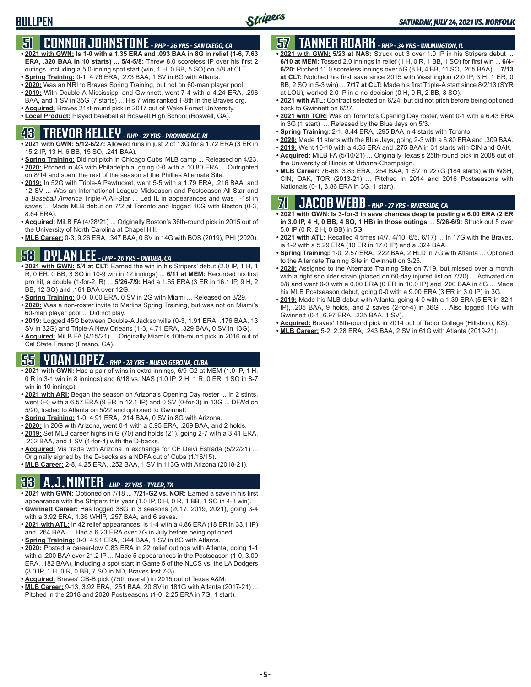## **51 CONNOR JOHNSTONE** *- RHP - 26 YRS - SAN DIEGO, CA*

- **• 2021 with GWN: Is 1-0 with a 1.35 ERA and .093 BAA in 8G in relief (1-6, 7.63 ERA, .320 BAA in 10 starts)** ... **5/4-5/8:** Threw 8.0 scoreless IP over his first 2 outings, including a 5.0-inning spot start (win, 1 H, 0 BB, 5 SO) on 5/8 at CLT.
- **• Spring Training:** 0-1, 4.76 ERA, .273 BAA, 1 SV in 6G with Atlanta.
- **• 2020:** Was an NRI to Braves Spring Training, but not on 60-man player pool. **• 2019:** With Double-A Mississippi and Gwinnett, went 7-4 with a 4.24 ERA, .296
- BAA, and 1 SV in 35G (7 starts) ... His 7 wins ranked T-8th in the Braves org.
- **• Acquired:** Braves 21st-round pick in 2017 out of Wake Forest University. **• Local Product:** Played baseball at Roswell High School (Roswell, GA).

# **43 TREVOR KELLEY** *- RHP - 27 YRS - PROVIDENCE, RI*

- **• 2021 with GWN: 5/12-6/27:** Allowed runs in just 2 of 13G for a 1.72 ERA (3 ER in 15.2 IP, 13 H, 6 BB, 15 SO, .241 BAA).
- **• Spring Training:** Did not pitch in Chicago Cubs' MLB camp ... Released on 4/23. **• 2020:** Pitched in 4G with Philadelphia, going 0-0 with a 10.80 ERA ... Outrighted on 8/14 and spent the rest of the season at the Phillies Alternate Site.
- **• 2019:** In 52G with Triple-A Pawtucket, went 5-5 with a 1.79 ERA, .216 BAA, and 12 SV ... Was an International League Midseason and Postseason All-Star and a *Baseball America* Triple-A All-Star ... Led IL in appearances and was T-1st in saves ... Made MLB debut on 7/2 at Toronto and logged 10G with Boston (0-3, 8.64 ERA).
- **• Acquired:** MiLB FA (4/28/21) ... Originally Boston's 36th-round pick in 2015 out of the University of North Carolina at Chapel Hill.
- **• MLB Career:** 0-3, 9.26 ERA, .347 BAA, 0 SV in 14G with BOS (2019), PHI (2020).

## **58 DYLAN LEE** *- LHP - 26 YRS - DINUBA, CA*

- **• 2021 with GWN: 5/4 at CLT:** Earned the win in his Stripers' debut (2.0 IP, 1 H, 1 R, 0 ER, 0 BB, 3 SO in 10-9 win in 12 innings) ... **6/11 at MEM:** Recorded his first pro hit, a double (1-for-2, R) ... **5/26-7/9:** Had a 1.65 ERA (3 ER in 16.1 IP, 9 H, 2 BB, 12 SO) and .161 BAA over 12G.
- **• Spring Training:** 0-0, 0.00 ERA, 0 SV in 2G with Miami ... Released on 3/29.
- **• 2020:** Was a non-roster invite to Marlins Spring Training, but was not on Miami's 60-man player pool ... Did not play.
- **• 2019:** Logged 45G between Double-A Jacksonville (0-3, 1.91 ERA, .176 BAA, 13 SV in 32G) and Triple-A New Orleans (1-3, 4.71 ERA, .329 BAA, 0 SV in 13G).
- **• Acquired:** MiLB FA (4/15/21) ... Originally Miami's 10th-round pick in 2016 out of Cal State Fresno (Fresno, CA).

## **55 YOAN LOPEZ** *- RHP - 28 YRS - NUEVA GERONA, CUBA*

- **• 2021 with GWN:** Has a pair of wins in extra innings, 6/9-G2 at MEM (1.0 IP, 1 H, 0 R in 3-1 win in 8 innings) and 6/18 vs. NAS (1.0 IP, 2 H, 1 R, 0 ER, 1 SO in 8-7 win in 10 innings).
- **• 2021 with ARI:** Began the season on Arizona's Opening Day roster ... In 2 stints, went 0-0 with a 6.57 ERA (9 ER in 12.1 IP) and 0 SV (0-for-3) in 13G ... DFA'd on 5/20, traded to Atlanta on 5/22 and optioned to Gwinnett.
- **• Spring Training:** 1-0, 4.91 ERA, .214 BAA, 0 SV in 8G with Arizona.
- **• 2020:** In 20G with Arizona, went 0-1 with a 5.95 ERA, .269 BAA, and 2 holds.
- **• 2019:** Set MLB career highs in G (70) and holds (21), going 2-7 with a 3.41 ERA, .232 BAA, and 1 SV (1-for-4) with the D-backs.
- **• Acquired:** Via trade with Arizona in exchange for CF Deivi Estrada (5/22/21) ... Originally signed by the D-backs as a NDFA out of Cuba (1/16/15).
- **• MLB Career:** 2-8, 4.25 ERA, .252 BAA, 1 SV in 113G with Arizona (2018-21).

## **33 A.J. MINTER** *- LHP - 27 YRS - TYLER, TX*

- **• 2021 with GWN:** Optioned on 7/18 ... **7/21-G2 vs. NOR:** Earned a save in his first appearance with the Stripers this year (1.0 IP, 0 H, 0 R, 1 BB, 1 SO in 4-3 win).
- **• Gwinnett Career:** Has logged 38G in 3 seasons (2017, 2019, 2021), going 3-4 with a 3.92 ERA, 1.36 WHIP, .257 BAA, and 6 saves.
- **• 2021 with ATL:** In 42 relief appearances, is 1-4 with a 4.86 ERA (18 ER in 33.1 IP) and .264 BAA ... Had a 6.23 ERA over 7G in July before being optioned.
- **• Spring Training:** 0-0, 4.91 ERA, .344 BAA, 1 SV in 8G with Atlanta.
- **• 2020:** Posted a career-low 0.83 ERA in 22 relief outings with Atlanta, going 1-1 with a .200 BAA over 21.2 IP ... Made 5 appearances in the Postseason (1-0, 3.00 ERA, .182 BAA), including a spot start in Game 5 of the NLCS vs. the LA Dodgers (3.0 IP, 1 H, 0 R, 0 BB, 7 SO in ND, Braves lost 7-3).
- **• Acquired:** Braves' CB-B pick (75th overall) in 2015 out of Texas A&M.
- **• MLB Career:** 9-13, 3.92 ERA, .251 BAA, 20 SV in 181G with Atlanta (2017-21) ... Pitched in the 2018 and 2020 Postseasons (1-0, 2.25 ERA in 7G, 1 start).

## **57 TANNER ROARK** *- RHP - 34 YRS - WILMINGTON, IL*

- **• 2021 with GWN: 5/23 at NAS:** Struck out 3 over 1.0 IP in his Stripers debut ... **6/10 at MEM:** Tossed 2.0 innings in relief (1 H, 0 R, 1 BB, 1 SO) for first win ... **6/4- 6/20:** Pitched 11.0 scoreless innings over 5G (8 H, 4 BB, 11 SO, .205 BAA) ... **7/13 at CLT:** Notched his first save since 2015 with Washington (2.0 IP, 3 H, 1 ER, 0 BB, 2 SO in 5-3 win) ... **7/17 at CLT:** Made his first Triple-A start since 8/2/13 (SYR at LOU), worked 2.0 IP in a no-decision (0 H, 0 R, 2 BB, 3 SO).
- **• 2021 with ATL:** Contract selected on 6/24, but did not pitch before being optioned back to Gwinnett on 6/27.
- **• 2021 with TOR:** Was on Toronto's Opening Day roster, went 0-1 with a 6.43 ERA in 3G (1 start) ... Released by the Blue Jays on 5/3.
- **• Spring Training:** 2-1, 8.44 ERA, .295 BAA in 4 starts with Toronto.
- **• 2020:** Made 11 starts with the Blue Jays, going 2-3 with a 6.80 ERA and .309 BAA.
- **• 2019:** Went 10-10 with a 4.35 ERA and .275 BAA in 31 starts with CIN and OAK. **• Acquired:** MiLB FA (5/10/21) ... Originally Texas's 25th-round pick in 2008 out of
- the University of Illinois at Urbana-Champaign. **• MLB Career:** 76-68, 3.85 ERA, .254 BAA, 1 SV in 227G (184 starts) with WSH, CIN, OAK, TOR (2013-21) ... Pitched in 2014 and 2016 Postseasons with Nationals (0-1, 3.86 ERA in 3G, 1 start).

## **71 JACOB WEBB** *- RHP - 27 YRS - RIVERSIDE, CA*

**• 2021 with GWN: Is 3-for-3 in save chances despite posting a 6.00 ERA (2 ER in 3.0 IP, 4 H, 0 BB, 4 SO, 1 HB) in those outings** ... **5/26-6/9:** Struck out 5 over 5.0 IP (0 R, 2 H, 0 BB) in 5G.

- **• 2021 with ATL:** Recalled 4 times (4/7, 4/10, 6/5, 6/17) ... In 17G with the Braves, is 1-2 with a 5.29 ERA (10 ER in 17.0 IP) and a .324 BAA.
- **• Spring Training:** 1-0, 2.57 ERA, .222 BAA, 2 HLD in 7G with Atlanta ... Optioned to the Alternate Training Site in Gwinnett on 3/25.
- **• 2020:** Assigned to the Alternate Training Site on 7/19, but missed over a month with a right shoulder strain (placed on 60-day injured list on 7/20) ... Activated on 9/8 and went 0-0 with a 0.00 ERA (0 ER in 10.0 IP) and .200 BAA in 8G ... Made his MLB Postseason debut, going 0-0 with a 9.00 ERA (3 ER in 3.0 IP) in 3G.
- **• 2019:** Made his MLB debut with Atlanta, going 4-0 with a 1.39 ERA (5 ER in 32.1 IP), .205 BAA, 9 holds, and 2 saves (2-for-4) in 36G ... Also logged 10G with Gwinnett (0-1, 6.97 ERA, .225 BAA, 1 SV).
- **• Acquired:** Braves' 18th-round pick in 2014 out of Tabor College (Hillsboro, KS).
- **• MLB Career:** 5-2, 2.28 ERA, .243 BAA, 2 SV in 61G with Atlanta (2019-21).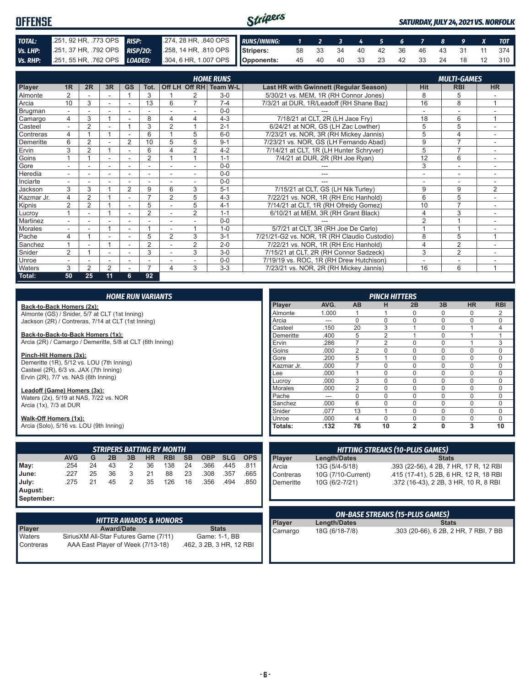#### Stripers **OFFENSE** *SATURDAY, JULY 24, 2021 VS. NORFOLK TOTAL:* .251, 92 HR, .773 OPS *RISP:* .274, 28 HR, .840 OPS *RUNS/INNING: 1 2 3 4 5 6 7 8 9 X TOT Vs. LHP:* .251, 37 HR, .792 OPS *RISP/2O:* .258, 14 HR, .810 OPS **Stripers:** 58 33 34 40 42 36 46 43 31 11 374 *Vs. RHP:* .251, 55 HR, .762 OPS *LOADED:* **Opponents:** 45 40 40 33 23 42 33 24 18 12 310

|                |                          |                |                          |                          |                          |                |                | <b>HOME RUNS</b>       |                                              |                | <b>MULTI-GAMES</b>       |                |
|----------------|--------------------------|----------------|--------------------------|--------------------------|--------------------------|----------------|----------------|------------------------|----------------------------------------------|----------------|--------------------------|----------------|
| Player         | 1 <sub>R</sub>           | 2R             | 3R                       | <b>GS</b>                | Tot.                     |                |                | Off LH Off RH Team W-L | Last HR with Gwinnett (Regular Season)       | Hit            | <b>RBI</b>               | <b>HR</b>      |
| <b>Almonte</b> |                          |                | $\overline{\phantom{a}}$ |                          | 3                        |                |                | $3-0$                  | 5/30/21 vs. MEM, 1R (RH Connor Jones)        | 8              | 5                        |                |
| Arcia          | 10                       | 3              | $\sim$                   | $\overline{\phantom{a}}$ | 13                       | 6              | 7              | $7 - 4$                | 7/3/21 at DUR, 1R/Leadoff (RH Shane Baz)     | 16             | 8                        | 1              |
| Brugman        |                          |                |                          |                          |                          |                |                | $0 - 0$                |                                              |                |                          |                |
| Camargo        | 4                        | 3              |                          |                          | 8                        | 4              | 4              | $4 - 3$                | 7/18/21 at CLT, 2R (LH Jace Fry)             | 18             | 6                        | $\overline{A}$ |
| Casteel        |                          | 2              | $\overline{\phantom{a}}$ |                          | 3                        | $\overline{2}$ |                | $2 - 1$                | 6/24/21 at NOR. GS (LH Zac Lowther)          | 5              | 5                        |                |
| Contreras      | 4                        |                |                          |                          | 6                        |                | 5              | $6 - 0$                | 7/23/21 vs. NOR, 3R (RH Mickey Jannis)       | 5              | 4                        | ٠.             |
| Demeritte      | 6                        | 2              |                          | $\overline{2}$           | 10                       | 5              | 5              | $9 - 1$                | 7/23/21 vs. NOR, GS (LH Fernando Abad)       | 9              | $\overline{7}$           |                |
| Ervin          | 3                        | $\overline{2}$ |                          |                          | 6                        |                | $\overline{2}$ | $4 - 2$                | 7/14/21 at CLT, 1R (LH Hunter Schryver)      | 5              | $\overline{7}$           |                |
| Goins          |                          |                | $\overline{\phantom{a}}$ | ٠                        | $\overline{2}$           |                |                | $1 - 1$                | 7/4/21 at DUR, 2R (RH Joe Ryan)              | 12             | 6                        |                |
| Gore           |                          |                |                          |                          |                          |                |                | $0 - 0$                |                                              | 3              | ۰                        |                |
| Heredia        | $\overline{\phantom{0}}$ | ÷              | $\overline{\phantom{a}}$ | ٠                        | $\overline{\phantom{a}}$ |                | $\sim$         | $0 - 0$                | ---                                          | ٠              | $\overline{\phantom{a}}$ | $\sim$         |
| Inciarte       |                          |                |                          |                          |                          |                |                | $0 - 0$                |                                              |                |                          |                |
| Jackson        | 3                        | 3              |                          | $\overline{2}$           | 9                        | 6              | 3              | $5 - 1$                | 7/15/21 at CLT, GS (LH Nik Turley)           | 9              | 9                        | 2              |
| Kazmar Jr.     | 4                        | 2              |                          |                          | $\overline{ }$           | 2              | 5              | $4 - 3$                | 7/22/21 vs. NOR, 1R (RH Eric Hanhold)        | 6              | 5                        |                |
| Kipnis         | 2                        | $\overline{2}$ |                          | $\overline{\phantom{a}}$ | 5                        |                | 5              | $4 - 1$                | 7/14/21 at CLT, 1R (RH Ofreidy Gomez)        | 10             | $\overline{7}$           | ۰.             |
| Lucroy         |                          |                |                          | ۰                        | $\overline{2}$           |                | 2              | $1 - 1$                | 6/10/21 at MEM, 3R (RH Grant Black)          | 4              | 3                        |                |
| Martinez       |                          |                |                          |                          |                          |                |                | $0 - 0$                |                                              | $\overline{2}$ |                          |                |
| Morales        | ۰.                       |                |                          | ٠                        |                          |                |                | $1 - 0$                | 5/7/21 at CLT, 3R (RH Joe De Carlo)          |                |                          |                |
| Pache          | 4                        |                |                          |                          | 5                        | $\overline{2}$ | 3              | $3 - 1$                | 7/21/21-G2 vs. NOR, 1R (RH Claudio Custodio) | 8              | 5                        | 1              |
| Sanchez        |                          |                |                          |                          | $\overline{2}$           |                | $\overline{2}$ | $2 - 0$                | 7/22/21 vs. NOR, 1R (RH Eric Hanhold)        | $\overline{4}$ | $\overline{2}$           |                |
| Snider         | $\overline{2}$           |                |                          |                          | 3                        |                | 3              | $3-0$                  | 7/15/21 at CLT, 2R (RH Connor Sadzeck)       | 3              | $\overline{2}$           |                |
| Unroe          | $\overline{a}$           |                |                          |                          |                          |                |                | $0 - 0$                | 7/19/19 vs. ROC, 1R (RH Drew Hutchison)      | $\overline{a}$ | ٠                        |                |
| <b>Waters</b>  | 3                        | 2              | $\overline{2}$           |                          | 7                        | 4              | 3              | $3 - 3$                | 7/23/21 vs. NOR, 2R (RH Mickey Jannis)       | 16             | 6                        | 1              |
| Total:         | 50                       | 25             | 11                       | 6                        | 92                       |                |                |                        |                                              |                |                          |                |

| <b>HOME RUN VARIANTS</b>                                            |            |    |    |                |           |                                   |           |            |            |            |               |                     |                | <b>PINCH HITTERS</b> |                                        |              |                                        |            |
|---------------------------------------------------------------------|------------|----|----|----------------|-----------|-----------------------------------|-----------|------------|------------|------------|---------------|---------------------|----------------|----------------------|----------------------------------------|--------------|----------------------------------------|------------|
| Back-to-Back Homers (2x):                                           |            |    |    |                |           |                                   |           |            |            |            | <b>Plaver</b> | AVG.                | AB             | н                    | 2B                                     | 3B           | <b>HR</b>                              | <b>RBI</b> |
| Almonte (GS) / Snider, 5/7 at CLT (1st Inning)                      |            |    |    |                |           |                                   |           |            |            |            | Almonte       | 1.000               |                |                      | $\Omega$                               |              | 0                                      | 2          |
| Jackson (2R) / Contreras, 7/14 at CLT (1st Inning)                  |            |    |    |                |           |                                   |           |            |            |            | Arcia         | ---                 | $\Omega$       | $\Omega$             | $\Omega$                               | $\Omega$     | 0                                      | 0          |
|                                                                     |            |    |    |                |           |                                   |           |            |            |            | Casteel       | .150                | 20             | 3                    |                                        | $\Omega$     |                                        | 4          |
| Back-to-Back-to-Back Homers (1x):                                   |            |    |    |                |           |                                   |           |            |            |            | Demeritte     | .400                | 5              | $\overline{2}$       |                                        | $\mathbf{0}$ | $\overline{1}$                         | 1          |
| Arcia (2R) / Camargo / Demeritte, 5/8 at CLT (6th Inning)           |            |    |    |                |           |                                   |           |            |            |            | Ervin         | .286                | $\overline{7}$ | $\overline{2}$       | $\Omega$                               | $\Omega$     |                                        | 3          |
|                                                                     |            |    |    |                |           |                                   |           |            |            |            | Goins         | .000                | $\overline{2}$ | $\Omega$             | $\Omega$                               | $\Omega$     | 0                                      | 0          |
| Pinch-Hit Homers (3x):<br>Demeritte (1R), 5/12 vs. LOU (7th Inning) |            |    |    |                |           |                                   |           |            |            |            | Gore          | .200                | 5              |                      | $\Omega$                               | $\Omega$     | 0                                      | 0          |
| Casteel (2R), 6/3 vs. JAX (7th Inning)                              |            |    |    |                |           |                                   |           |            |            |            | Kazmar Jr.    | .000                | $\overline{7}$ | $\Omega$             | $\Omega$                               | $\Omega$     | $\mathbf 0$                            | 0          |
| Ervin (2R), 7/7 vs. NAS (6th Inning)                                |            |    |    |                |           |                                   |           |            |            |            | Lee           | .000                |                | $\Omega$             | $\Omega$                               | $\Omega$     | $\mathbf 0$                            | 0          |
|                                                                     |            |    |    |                |           |                                   |           |            |            |            | Lucrov        | .000                | 3              | $\overline{0}$       | $\Omega$                               | $\mathbf{0}$ | $\mathbf 0$                            | 0          |
| Leadoff (Game) Homers (3x):                                         |            |    |    |                |           |                                   |           |            |            |            | Morales       | .000                | $\overline{2}$ | $\Omega$             | $\Omega$                               | $\Omega$     | $\Omega$                               | 0          |
| Waters (2x), 5/19 at NAS, 7/22 vs. NOR                              |            |    |    |                |           |                                   |           |            |            |            | Pache         | ---                 | $\mathbf 0$    | $\Omega$             | $\Omega$                               | $\Omega$     | $\mathbf 0$                            | 0          |
| Arcia (1x), 7/3 at DUR                                              |            |    |    |                |           |                                   |           |            |            |            | Sanchez       | .000                | 6              | 0                    | $\Omega$                               | $\Omega$     | $\mathbf 0$                            | 0          |
|                                                                     |            |    |    |                |           |                                   |           |            |            |            | Snider        | .077                | 13             |                      | $\Omega$                               | $\Omega$     | $\Omega$                               | $\Omega$   |
| Walk-Off Homers (1x):                                               |            |    |    |                |           |                                   |           |            |            |            | Unroe         | .000                | $\overline{4}$ | $\Omega$             | $\Omega$                               | 0            | 0                                      | 0          |
| Arcia (Solo), 5/16 vs. LOU (9th Inning)                             |            |    |    |                |           |                                   |           |            |            |            | Totals:       | .132                | 76             | 10                   | $\overline{2}$                         | $\mathbf{0}$ | 3                                      | 10         |
|                                                                     |            |    |    |                |           |                                   |           |            |            |            |               |                     |                |                      |                                        |              |                                        |            |
|                                                                     |            |    |    |                |           | <b>STRIPERS BATTING BY MONTH</b>  |           |            |            |            |               |                     |                |                      | <b>HITTING STREAKS (10-PLUS GAMES)</b> |              |                                        |            |
|                                                                     | <b>AVG</b> | G  | 2B | 3B             | <b>HR</b> | <b>RBI</b>                        | <b>SB</b> | <b>OBP</b> | <b>SLG</b> | <b>OPS</b> | Player        | <b>Length/Dates</b> |                |                      |                                        | <b>Stats</b> |                                        |            |
| May:                                                                | .254       | 24 | 43 | 2              | 36        | 138                               | 24        | .366       | .445       | .811       | Arcia         | 13G (5/4-5/18)      |                |                      |                                        |              | .393 (22-56), 4 2B, 7 HR, 17 R, 12 RBI |            |
| June:                                                               | .227       | 25 | 36 | 3              | 21        | 88                                | 23        | .308       | .357       | .665       | Contreras     | 10G (7/10-Current)  |                |                      |                                        |              | .415 (17-41), 5 2B, 6 HR, 12 R, 18 RBI |            |
| July:                                                               | .275       | 21 | 45 | $\overline{2}$ | 35        | 126                               | 16        | .356       | .494       | .850       | Demeritte     | 10G (6/2-7/21)      |                |                      |                                        |              | .372 (16-43). 2 2B. 3 HR. 10 R. 8 RBI  |            |
| August:<br>September:                                               |            |    |    |                |           |                                   |           |            |            |            |               |                     |                |                      |                                        |              |                                        |            |
|                                                                     |            |    |    |                |           |                                   |           |            |            |            |               |                     |                |                      |                                        |              |                                        |            |
|                                                                     |            |    |    |                |           |                                   |           |            |            |            |               |                     |                |                      | <b>ON-BASE STREAKS (15-PLUS GAMES)</b> |              |                                        |            |
|                                                                     |            |    |    |                |           | <b>HITTER AWARDS &amp; HONORS</b> |           |            |            |            | Player        | <b>Length/Dates</b> |                |                      |                                        | <b>Stats</b> |                                        |            |

|               | <b>HITTER AWARDS &amp; HONORS</b>      |                          |
|---------------|----------------------------------------|--------------------------|
| <b>Player</b> | <b>Award/Date</b>                      | <b>Stats</b>             |
| Waters        | Sirius XM All-Star Futures Game (7/11) | Game: 1-1, BB            |
| Contreras     | AAA East Player of Week (7/13-18)      | .462, 3 2B, 3 HR, 12 RBI |

|         |                     | <b>ON-BASE STREAKS (15-PLUS GAMES)</b> |
|---------|---------------------|----------------------------------------|
| Player  | <b>Length/Dates</b> | <b>Stats</b>                           |
| Camargo | 18G (6/18-7/8)      | .303 (20-66), 6 2B, 2 HR, 7 RBI, 7 BB  |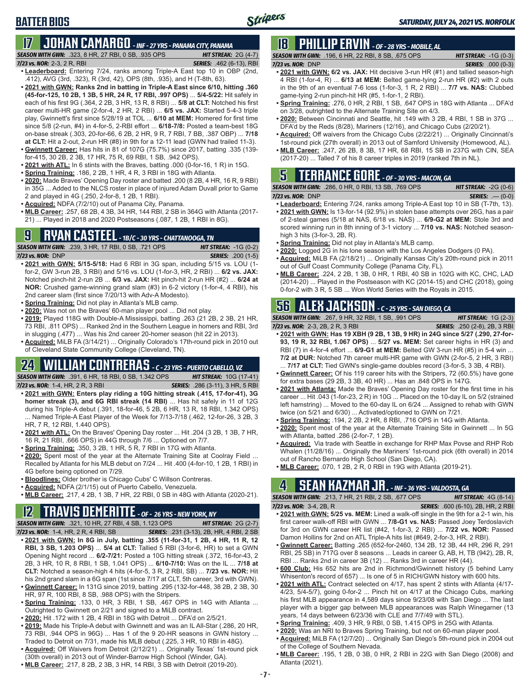# **BATTER BIOS**

# **17 JOHAN CAMARGO** *- INF - 27 YRS - PANAMA CITY, PANAMA*

*SEASON WITH GWN:*.323, 8 HR, 27 RBI, 0 SB, .935 OPS *HIT STREAK:* 2G (4-7) *7/23 vs. NOR:* 2-3, 2 R, RBI *SERIES:* .462 (6-13), RBI

- **• Leaderboard:** Entering 7/24, ranks among Triple-A East top 10 in OBP (2nd, .412), AVG (3rd, .323), R (3rd, 42), OPS (8th, .935), and H (T-8th, 63).
- **• 2021 with GWN: Ranks 2nd in batting in Triple-A East since 6/10, hitting .360 (45-for-125, 10 2B, 1 3B, 5 HR, 24 R, 17 RBI, .997 OPS)** ... **5/4-5/22:** Hit safely in each of his first 9G (.364, 2 2B, 3 HR, 13 R, 8 RBI) ... **5/8 at CLT:** Notched his first career multi-HR game (2-for-4, 2 HR, 2 RBI) ... **6/5 vs. JAX:** Started 5-4-3 triple play, Gwinnett's first since 5/28/19 at TOL ... **6/10 at MEM:** Homered for first time since 5/8 (2-run, #4) in 4-for-5, 2-RBI effort ... **6/18-7/8:** Posted a team-best 18G on-base streak (.303, 20-for-66, 6 2B, 2 HR, 9 R, 7 RBI, 7 BB, .387 OBP) ... **7/18 at CLT:** Hit a 2-out, 2-run HR (#8) in 9th for a 12-11 lead (GWN had trailed 11-3).
- **• Gwinnett Career:** Has hits in 81 of 107G (75.7%) since 2017, batting .335 (139 for-415, 30 2B, 2 3B, 17 HR, 75 R, 69 RBI, 1 SB, .942 OPS).
- **• 2021 with ATL:** In 6 stints with the Braves, batting .000 (0-for-16, 1 R) in 15G.
- **• Spring Training:** .186, 2 2B, 1 HR, 4 R, 3 RBI in 18G with Atlanta.
- **• 2020:** Made Braves' Opening Day roster and batted .200 (8 2B, 4 HR, 16 R, 9 RBI) in 35G ... Added to the NLCS roster in place of injured Adam Duvall prior to Game 2 and played in 4G (.250, 2-for-8, 1 2B, 1 RBI).
- **• Acquired:** NDFA (7/2/10) out of Panama City, Panama.
- **• MLB Career:** .257, 68 2B, 4 3B, 34 HR, 144 RBI, 2 SB in 364G with Atlanta (2017- 21) ... Played in 2018 and 2020 Postseasons (.087, 1 2B, 1 RBI in 8G).

## **9 RYAN CASTEEL** *- 1B/C - 30 YRS - CHATTANOOGA, TN*

*SEASON WITH GWN:*.239, 3 HR, 17 RBI, 0 SB, .721 OPS *HIT STREAK:* -1G (0-2) *7/23 vs. NOR:*DNP *SERIES:* .200 (1-5)

- **• 2021 with GWN: 5/15-5/18:** Had 6 RBI in 3G span, including 5/15 vs. LOU (1 for-2, GW 3-run 2B, 3 RBI) and 5/16 vs. LOU (1-for-3, HR, 2 RBI) ... **6/2 vs. JAX:** Notched pinch-hit 2-run 2B ... **6/3 vs. JAX:** Hit pinch-hit 2-run HR (#2) ... **6/24 at NOR:** Crushed game-winning grand slam (#3) in 6-2 victory (1-for-4, 4 RBI), his 2nd career slam (first since 7/20/13 with Adv-A Modesto).
- **• Spring Training:** Did not play in Atlanta's MLB camp.
- **• 2020:** Was not on the Braves' 60-man player pool ... Did not play.
- **• 2019:** Played 118G with Double-A Mississippi, batting .263 (21 2B, 2 3B, 21 HR, 73 RBI, .811 OPS) ... Ranked 2nd in the Southern League in homers and RBI, 3rd in slugging (.477) ... Was his 2nd career 20-homer season (hit 22 in 2013).
- **• Acquired:** MiLB FA (3/14/21) ... Originally Colorado's 17th-round pick in 2010 out of Cleveland State Community College (Cleveland, TN).

# **24 WILLIAM CONTRERAS** *- C - 23 YRS - PUERTO CABELLO, VZ*

*SEASON WITH GWN:*.391, 6 HR, 18 RBI, 0 SB, 1.342 OPS *HIT STREAK:* 10G (17-41) *7/23 vs. NOR:* 1-4, HR, 2 R, 3 RBI *SERIES:* .286 (3-11), 3 HR, 5 RBI

- **• 2021 with GWN: Enters play riding a 10G hitting streak (.415, 17-for-41), 3G homer streak (3), and 6G RBI streak (14 RBI)** ... Has hit safely in 11 of 12G during his Triple-A debut (.391, 18-for-46, 5 2B, 6 HR, 13 R, 18 RBI, 1.342 OPS) ... Named Triple-A East Player of the Week for 7/13-7/18 (.462, 12-for-26, 3 2B, 3 HR, 7 R, 12 RBI, 1.440 OPS).
- **• 2021 with ATL:** On the Braves' Opening Day roster ... Hit .204 (3 2B, 1 3B, 7 HR, 16 R, 21 RBI, .666 OPS) in 44G through 7/6 ... Optioned on 7/7.
- **• Spring Training:** .350, 3 2B, 1 HR, 5 R, 7 RBI in 17G with Atlanta.
- **• 2020:** Spent most of the year at the Alternate Training Site at Coolray Field ... Recalled by Atlanta for his MLB debut on 7/24 ... Hit .400 (4-for-10, 1 2B, 1 RBI) in 4G before being optioned on 7/29.
- **• Bloodlines:** Older brother is Chicago Cubs' C Willson Contreras.
- **• Acquired:** NDFA (2/1/15) out of Puerto Cabello, Venezuela.
- **• MLB Career:** .217, 4 2B, 1 3B, 7 HR, 22 RBI, 0 SB in 48G with Atlanta (2020-21).

## **12 TRAVIS DEMERITTE** *- OF - 26 YRS - NEW YORK, NY*

*SEASON WITH GWN:*.321, 10 HR, 27 RBI, 4 SB, 1.123 OPS *HIT STREAK:* 2G (2-7) *7/23 vs. NOR:*1-4, HR, 2 R, 4 RBI, SB *SERIES:* .231 (3-13), 2B, HR, 4 RBI, 2 SB

- **• 2021 with GWN: In 8G in July, batting .355 (11-for-31, 1 2B, 4 HR, 11 R, 12 RBI, 3 SB, 1.203 OPS)** ... **5/4 at CLT:** Tallied 5 RBI (3-for-6, HR) to set a GWN Opening Night record ... **6/2-7/21:** Posted a 10G hitting streak (.372, 16-for-43, 2 2B, 3 HR, 10 R, 8 RBI, 1 SB, 1.041 OPS) ... **6/10-7/10:** Was on the IL ... **7/18 at CLT:** Notched a season-high 4 hits (4-for-5, 3 R, 2 RBI, SB) ... **7/23 vs. NOR:** Hit his 2nd grand slam in a 6G span (1st since 7/17 at CLT, 5th career, 3rd with GWN). **• Gwinnett Career:** In 131G since 2019, batting .295 (132-for-448, 38 2B, 2 3B, 30
- HR, 97 R, 100 RBI, 8 SB, .988 OPS) with the Stripers. **• Spring Training:** .133, 0 HR, 3 RBI, 1 SB, .467 OPS in 14G with Atlanta ...
- Outrighted to Gwinnett on 2/21 and signed to a MiLB contract.
- **• 2020:** Hit .172 with 1 2B, 4 RBI in 18G with Detroit ... DFA'd on 2/5/21.
- **• 2019:** Made his Triple-A debut with Gwinnett and was an IL All-Star (.286, 20 HR, 73 RBI, .944 OPS in 96G) ... Has 1 of the 9 20-HR seasons in GWN history ... Traded to Detroit on 7/31, made his MLB debut (.225, 3 HR, 10 RBI in 48G).
- **• Acquired:** Off Waivers from Detroit (2/12/21) ... Originally Texas' 1st-round pick (30th overall) in 2013 out of Winder-Barrow High School (Winder, GA).
- **• MLB Career:** .217, 8 2B, 2 3B, 3 HR, 14 RBI, 3 SB with Detroit (2019-20).

# **18 PHILLIP ERVIN** *- OF - 28 YRS - MOBILE, AL*

*SEASON WITH GWN:*.196, 6 HR, 22 RBI, 8 SB, .675 OPS *HIT STREAK:* -1G (0-3) *7/23 vs. NOR:*DNP *SERIES:* .000 (0-3) **• 2021 with GWN: 6/2 vs. JAX:** Hit decisive 3-run HR (#1) and tallied season-high

- 4 RBI (1-for-4, R) ... **6/13 at MEM:** Belted game-tying 2-run HR (#2) with 2 outs in the 9th of an eventual 7-6 loss (1-for-3, 1 R, 2 RBI) ... **7/7 vs. NAS:** Clubbed game-tying 2-run pinch-hit HR (#5, 1-for-1, 2 RBI).
- **• Spring Training:** .276, 0 HR, 2 RBI, 1 SB, .647 OPS in 18G with Atlanta ... DFA'd on 3/28, outrighted to the Alternate Training Site on 4/3.
- **• 2020:** Between Cincinnati and Seattle, hit .149 with 3 2B, 4 RBI, 1 SB in 37G ... DFA'd by the Reds (8/28), Mariners (12/16), and Chicago Cubs (2/20/21).
- **• Acquired:** Off waivers from the Chicago Cubs (2/22/21) ... Originally Cincinnati's 1st-round pick (27th overall) in 2013 out of Samford University (Homewood, AL).
- **• MLB Career:** .247, 26 2B, 8 3B, 17 HR, 68 RBI, 15 SB in 237G with CIN, SEA (2017-20) ... Talled 7 of his 8 career triples in 2019 (ranked 7th in NL).

## **5 TERRANCE GORE** *- OF - 30 YRS - MACON, GA*

| <b>SEASON WITH GWN: .286, 0 HR, 0 RBI, 13 SB, .769 OPS</b> | <b>HIT STREAK:</b> $-2G(0-6)$ |
|------------------------------------------------------------|-------------------------------|
| $7/23$ vs. NOR: DNP                                        | <b>SERIES:</b> $--- (0-0)$    |

- **• Leaderboard:** Entering 7/24, ranks among Triple-A East top 10 in SB (T-7th, 13). **• 2021 with GWN:** Is 13-for-14 (92.9%) in stolen base attempts over 26G, has a pair of 2-steal games (5/18 at NAS, 6/18 vs. NAS) ... **6/9-G2 at MEM:** Stole 3rd and scored winning run in 8th inning of 3-1 victory ... **7/10 vs. NAS:** Notched seasonhigh 3 hits (3-for-3, 2B, R).
- **• Spring Training:** Did not play in Atlanta's MLB camp.
- **• 2020:** Logged 2G in his lone season with the Los Angeles Dodgers (0 PA).
- **• Acquired:** MiLB FA (2/18/21) ... Originally Kansas City's 20th-round pick in 2011 out of Gulf Coast Community College (Panama City, FL).
- **• MLB Career:** .224, 2 2B, 1 3B, 0 HR, 1 RBI, 40 SB in 102G with KC, CHC, LAD (2014-20) ... Played in the Postseason with KC (2014-15) and CHC (2018), going 0-for-2 with 3 R, 5 SB ... Won World Series with the Royals in 2015.

## **56 ALEX JACKSON** *- C - 25 YRS - SAN DIEGO, CA*

*SEASON WITH GWN:*.267, 9 HR, 32 RBI, 1 SB, .991 OPS *HIT STREAK:* 1G (2-3)

- *7/23 vs. NOR:*2-3, 2B, 2 R, 3 RBI *SERIES:* .250 (2-8), 2B, 3 RBI **• 2021 with GWN: Has 19 XBH (9 2B, 1 3B, 9 HR) in 24G since 5/27 (.290, 27-for-93, 19 R, 32 RBI, 1.067 OPS)** ... **5/27 vs. MEM:** Set career highs in HR (3) and RBI (7) in 4-for-4 effort ... **6/9-G1 at MEM:** Belted GW 3-run HR (#5) in 5-4 win ... **7/2 at DUR:** Notched 7th career multi-HR game with GWN (2-for-5, 2 HR, 3 RBI) . **7/17 at CLT:** Tied GWN's single-game doubles record (3-for-5, 3 3B, 4 RBI).
- **• Gwinnett Career:** Of his 119 career hits with the Stripers, 72 (60.5%) have gone for extra bases (29 2B, 3 3B, 40 HR) ... Has an .848 OPS in 147G.
- **• 2021 with Atlanta:** Made the Braves' Opening Day roster for the first time in his career ... Hit .043 (1-for-23, 2 R) in 10G ... Placed on the 10-day IL on 5/2 (strained left hamstring) ... Moved to the 60-day IL on 6/24 ... Assigned to rehab with GWN twice (on 5/21 and 6/30) ... Activated/optioned to GWN on 7/21.
- **• Spring Training:** .194, 2 2B, 2 HR, 8 RBI, .716 OPS in 14G with Atlanta.
- **• 2020:** Spent most of the year at the Alternate Training Site in Gwinnett ... In 5G with Atlanta, batted .286 (2-for-7, 1 2B).
- **• Acquired:** Via trade with Seattle in exchange for RHP Max Povse and RHP Rob Whalen (11/28/16) ... Originally the Mariners' 1st-round pick (6th overall) in 2014 out of Rancho Bernardo High School (San Diego, CA).
- **• MLB Career:** .070, 1 2B, 2 R, 0 RBI in 19G with Atlanta (2019-21).

# **4 SEAN KAZMAR JR.** *- INF - 36 YRS - VALDOSTA, GA*

*SEASON WITH GWN:*.213, 7 HR, 21 RBI, 2 SB, .677 OPS *HIT STREAK:* 4G (8-14)

- *7/23 vs. NOR:*3-4, 2B, R *SERIES:* .600 (6-10), 2B, HR, 2 RBI **• 2021 with GWN: 5/25 vs. MEM:** Lined a walk-off single in the 9th for a 2-1 win, his first career walk-off RBI with GWN ... **7/8-G1 vs. NAS:** Passed Joey Terdoslavich for 3rd on GWN career HR list (#42, 1-for-3, 2 RBI) ... **7/22 vs. NOR:** Passed Damon Hollins for 2nd on ATL Triple-A hits list (#649, 2-for-3, HR, 2 RBI).
- **• Gwinnett Career:** Batting .265 (652-for-2460, 134 2B, 12 3B, 44 HR, 296 R, 291 RBI, 25 SB) in 717G over 8 seasons ... Leads in career G, AB, H, TB (942), 2B, R, RBI ... Ranks 2nd in career 3B (12) ... Ranks 3rd in career HR (44).
- **• 600 Club:** His 652 hits are 2nd in Richmond/Gwinnett history (5 behind Larry Whisenton's record of 657) ... Is one of 5 in RICH/GWN history with 600 hits.
- **• 2021 with ATL:** Contract selected on 4/17, has spent 2 stints with Atlanta (4/17- 4/23, 5/4-5/7), going 0-for-2 ... Pinch hit on 4/17 at the Chicago Cubs, marking his first MLB appearance in 4,589 days since 9/23/08 with San Diego ... The last player with a bigger gap between MLB appearances was Ralph Winegarner (13 years, 14 days between 6/23/36 with CLE and 7/7/49 with STL).
- **• Spring Training:** .409, 3 HR, 9 RBI, 0 SB, 1.415 OPS in 25G with Atlanta.
- **• 2020:** Was an NRI to Braves Spring Training, but not on 60-man player pool.
- **• Acquired:** MiLB FA (12/7/20) ... Originally San Diego's 5th-round pick in 2004 out of the College of Southern Nevada.
- **• MLB Career:** .195, 1 2B, 0 3B, 0 HR, 2 RBI in 22G with San Diego (2008) and Atlanta (2021).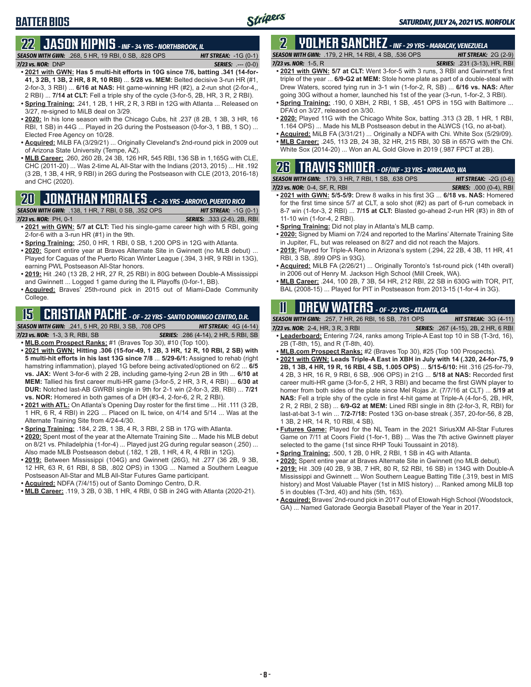## **BATTER BIOS**

# **22 JASON KIPNIS** *- INF - 34 YRS - NORTHBROOK, IL*

*SEASON WITH GWN:*.268, 5 HR, 19 RBI, 0 SB, .828 OPS *HIT STREAK:* -1G (0-1) *7/23 vs. NOR:*DNP *SERIES:* .--- (0-0)

- **• 2021 with GWN: Has 5 multi-hit efforts in 10G since 7/6, batting .341 (14-for-41, 3 2B, 1 3B, 2 HR, 8 R, 10 RBI)** ... **5/28 vs. MEM:** Belted decisive 3-run HR (#1, 2-for-3, 3 RBI) ... **6/16 at NAS:** Hit game-winning HR (#2), a 2-run shot (2-for-4,, 2 RBI) ... **7/14 at CLT:** Fell a triple shy of the cycle (3-for-5, 2B, HR, 3 R, 2 RBI).
- **• Spring Training:** .241, 1 2B, 1 HR, 2 R, 3 RBI in 12G with Atlanta ... Released on 3/27, re-signed to MiLB deal on 3/29.
- **• 2020:** In his lone season with the Chicago Cubs, hit .237 (8 2B, 1 3B, 3 HR, 16 RBI, 1 SB) in 44G ... Played in 2G during the Postseason (0-for-3, 1 BB, 1 SO) ... Elected Free Agency on 10/28.
- **• Acquired:** MiLB FA (3/29/21) ... Originally Cleveland's 2nd-round pick in 2009 out of Arizona State University (Tempe, AZ).
- **• MLB Career:** .260, 260 2B, 24 3B, 126 HR, 545 RBI, 136 SB in 1,165G with CLE, CHC (2011-20) ... Was 2-time AL All-Star with the Indians (2013, 2015) ... Hit .192 (3 2B, 1 3B, 4 HR, 9 RBI) in 26G during the Postseason with CLE (2013, 2016-18) and CHC (2020).

### **20 JONATHAN MORALES** *- C - 26 YRS - ARROYO, PUERTO RICO*

*SEASON WITH GWN:*.138, 1 HR, 7 RBI, 0 SB, .352 OPS *HIT STREAK:* -1G (0-1)

*7/23 vs. NOR:*PH, 0-1 *SERIES:* .333 (2-6), 2B, RBI

- **• 2021 with GWN: 5/7 at CLT:** Tied his single-game career high with 5 RBI, going 2-for-6 with a 3-run HR (#1) in the 9th.
- **• Spring Training:** .250, 0 HR, 1 RBI, 0 SB, 1.200 OPS in 12G with Atlanta.
- **• 2020:** Spent entire year at Braves Alternate Site in Gwinnett (no MLB debut) ... Played for Caguas of the Puerto Rican Winter League (.394, 3 HR, 9 RBI in 13G), earning PWL Postseason All-Star honors.
- **• 2019:** Hit .240 (13 2B, 2 HR, 27 R, 25 RBI) in 80G between Double-A Mississippi and Gwinnett ... Logged 1 game during the IL Playoffs (0-for-1, BB).
- **• Acquired:** Braves' 25th-round pick in 2015 out of Miami-Dade Community College.

## **15 CRISTIAN PACHE** *- OF - 22 YRS - SANTO DOMINGO CENTRO, D.R.*

*SEASON WITH GWN:*.241, 5 HR, 20 RBI, 3 SB, .708 OPS *HIT STREAK:* 4G (4-14)

*7/23 vs. NOR:* 1-3, 3 R, RBI, SB *SERIES:* .286 (4-14), 2 HR, 5 RBI, SB

- **• MLB.com Prospect Ranks:** #1 (Braves Top 30), #10 (Top 100).
- **• 2021 with GWN: Hitting .306 (15-for-49, 1 2B, 3 HR, 12 R, 10 RBI, 2 SB) with 5 multi-hit efforts in his last 13G since 7/8** ... **5/29-6/1:** Assigned to rehab (right hamstring inflammation), played 1G before being activated/optioned on 6/2 ... **6/5 vs. JAX:** Went 3-for-6 with 2 2B, including game-tying 2-run 2B in 9th ... **6/10 at MEM:** Tallied his first career multi-HR game (3-for-5, 2 HR, 3 R, 4 RBI) ... **6/30 at DUR:** Notched last-AB GWRBI single in 9th for 2-1 win (2-for-3, 2B, RBI) ... **7/21 vs. NOR:** Homered in both games of a DH (#3-4, 2-for-6, 2 R, 2 RBI).
- **• 2021 with ATL:** On Atlanta's Opening Day roster for the first time ... Hit .111 (3 2B, 1 HR, 6 R, 4 RBI) in 22G ... Placed on IL twice, on 4/14 and 5/14 ... Was at the Alternate Training Site from 4/24-4/30.
- **• Spring Training:** .184, 2 2B, 1 3B, 4 R, 3 RBI, 2 SB in 17G with Atlanta.
- **• 2020:** Spent most of the year at the Alternate Training Site ... Made his MLB debut on 8/21 vs. Philadelphia (1-for-4) ... Played just 2G during regular season (.250) ... Also made MLB Postseason debut (.182, 1 2B, 1 HR, 4 R, 4 RBI in 12G).
- **• 2019:** Between Mississippi (104G) and Gwinnett (26G), hit .277 (36 2B, 9 3B, 12 HR, 63 R, 61 RBI, 8 SB, .802 OPS) in 130G ... Named a Southern League Postseason All-Star and MLB All-Star Futures Game participant.
- **• Acquired:** NDFA (7/4/15) out of Santo Domingo Centro, D.R.
- **• MLB Career:** .119, 3 2B, 0 3B, 1 HR, 4 RBI, 0 SB in 24G with Atlanta (2020-21).

#### **2 YOLMER SANCHEZ** *- INF - 29 YRS - MARACAY, VENEZUELA SEASON WITH GWN:*.179, 2 HR, 14 RBI, 4 SB, .536 OPS *HIT STREAK:* 2G (2-9)

- *7/23 vs. NOR:*1-5, R *SERIES:* .231 (3-13), HR, RBI
- **• 2021 with GWN: 5/7 at CLT:** Went 3-for-5 with 3 runs, 3 RBI and Gwinnett's first triple of the year ... **6/9-G2 at MEM:** Stole home plate as part of a double-steal with Drew Waters, scored tying run in 3-1 win (1-for-2, R, SB) ... **6/16 vs. NAS:** After going 30G without a homer, launched his 1st of the year (3-run, 1-for-2, 3 RBI).
- **• Spring Training:** .190, 0 XBH, 2 RBI, 1 SB, .451 OPS in 15G with Baltimore ... DFA'd on 3/27, released on 3/30.
- **• 2020:** Played 11G with the Chicago White Sox, batting .313 (3 2B, 1 HR, 1 RBI, 1.164 OPS) ... Made his MLB Postseason debut in the ALWCS (1G, no at-bat).
- **• Acquired:** MiLB FA (3/31/21) ... Originally a NDFA with Chi. White Sox (5/29/09).
- **• MLB Career:** .245, 113 2B, 24 3B, 32 HR, 215 RBI, 30 SB in 657G with the Chi. White Sox (2014-20) ... Won an AL Gold Glove in 2019 (.987 FPCT at 2B).

| <b>26 TRAVIS SNIDER</b> - OF/INF - 33 YRS - KIRKLAND, WA  |                                |
|-----------------------------------------------------------|--------------------------------|
| <b>SEASON WITH GWN: .179, 3 HR, 7 RBI, 1 SB, .638 OPS</b> | <b>HIT STREAK:</b> $-2G(0-6)$  |
| 7/23 vs. NOR: 0-4, SF, R, RBI                             | <b>SERIES:</b> .000 (0-4), RBI |

- **• 2021 with GWN: 5/5-5/9:** Drew 8 walks in his first 3G ... **6/18 vs. NAS:** Homered for the first time since 5/7 at CLT, a solo shot (#2) as part of 6-run comeback in 8-7 win (1-for-3, 2 RBI) ... **7/15 at CLT:** Blasted go-ahead 2-run HR (#3) in 8th of 11-10 win (1-for-4, 2 RBI).
- **• Spring Training:** Did not play in Atlanta's MLB camp.
- **• 2020:** Signed by Miami on 7/24 and reported to the Marlins' Alternate Training Site in Jupiter, FL, but was released on 8/27 and did not reach the Majors.
- **• 2019:** Played for Triple-A Reno in Arizona's system (.294, 22 2B, 4 3B, 11 HR, 41 RBI, 3 SB, .899 OPS in 93G).
- **• Acquired:** MiLB FA (2/26/21) ... Originally Toronto's 1st-round pick (14th overall) in 2006 out of Henry M. Jackson High School (Mill Creek, WA).
- **• MLB Career:** .244, 100 2B, 7 3B, 54 HR, 212 RBI, 22 SB in 630G with TOR, PIT, BAL (2008-15) ... Played for PIT in Postseason from 2013-15 (1-for-4 in 3G).

## **11 Drew WATERS** *- OF - 22 YRS - ATLANTA, GA*

| <b>SEASON WITH GWN:</b> .257, 7 HR, 26 RBI, 16 SB, .781 OPS | <b>HIT STREAK:</b> $3G(4-11)$                                                        |
|-------------------------------------------------------------|--------------------------------------------------------------------------------------|
| 7/23 vs. NOR: 2-4, HR, 3 R, 3 RBI                           | <b>SERIES:</b> .267 (4-15), 2B, 2 HR, 6 RBI                                          |
|                                                             | <b>A paderboard:</b> Entering 7/24 ranks among Triple-A East top 10 in SR (T-3rd 16) |

- **<u>• aderboard:</u>** Entering 7/24, ranks among Triple-A East top 10 in SB (T-3rd, 16), 2B (T-8th, 15), and R (T-8th, 40).
- **• MLB.com Prospect Ranks:** #2 (Braves Top 30), #25 (Top 100 Prospects).
- **• 2021 with GWN: Leads Triple-A East in XBH in July with 14 (.320, 24-for-75, 9 2B, 1 3B, 4 HR, 19 R, 16 RBI, 4 SB, 1.005 OPS)** ... **5/15-6/10:** Hit .316 (25-for-79, 4 2B, 3 HR, 16 R, 9 RBI, 6 SB, .906 OPS) in 21G ... **5/18 at NAS:** Recorded first career multi-HR game (3-for-5, 2 HR, 3 RBI) and became the first GWN player to homer from both sides of the plate since Mel Rojas Jr. (7/7/16 at CLT) ... **5/19 at NAS:** Fell a triple shy of the cycle in first 4-hit game at Triple-A (4-for-5, 2B, HR, 2 R, 2 RBI, 2 SB) ... **6/9-G2 at MEM:** Lined RBI single in 8th (2-for-3, R, RBI) for last-at-bat 3-1 win ... **7/2-7/18:** Posted 13G on-base streak (.357, 20-for-56, 8 2B, 1 3B, 2 HR, 14 R, 10 RBI, 4 SB).
- **• Futures Game:** Played for the NL Team in the 2021 SiriusXM All-Star Futures Game on 7/11 at Coors Field (1-for-1, BB) ... Was the 7th active Gwinnett player selected to the game (1st since RHP Touki Toussaint in 2018).
- **• Spring Training:** .500, 1 2B, 0 HR, 2 RBI, 1 SB in 4G with Atlanta.
- **• 2020:** Spent entire year at Braves Alternate Site in Gwinnett (no MLB debut).
- **• 2019:** Hit .309 (40 2B, 9 3B, 7 HR, 80 R, 52 RBI, 16 SB) in 134G with Double-A Mississippi and Gwinnett ... Won Southern League Batting Title (.319, best in MIS history) and Most Valuable Player (1st in MIS history) ... Ranked among MiLB top 5 in doubles (T-3rd, 40) and hits (5th, 163).
- **• Acquired:** Braves' 2nd-round pick in 2017 out of Etowah High School (Woodstock, GA) ... Named Gatorade Georgia Baseball Player of the Year in 2017.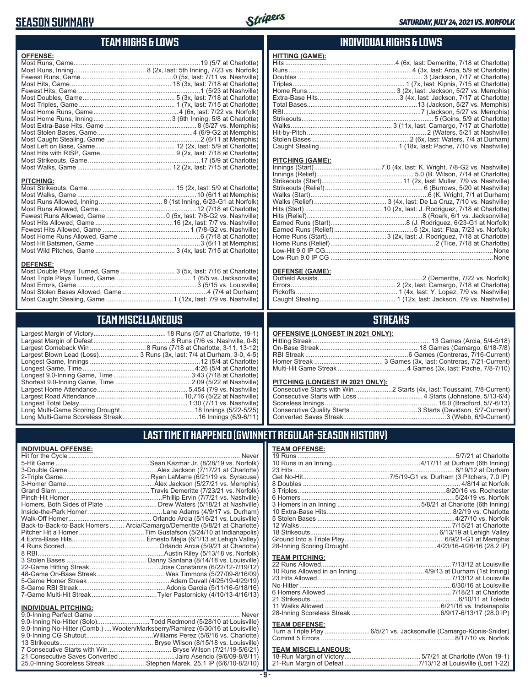### **SEASON SUMMARY**



**HITTING (GAME):**

### **TEAM HIGHS & LOWS**

| <b>OFFENSE:</b>  |  |
|------------------|--|
|                  |  |
|                  |  |
|                  |  |
|                  |  |
|                  |  |
|                  |  |
|                  |  |
|                  |  |
|                  |  |
|                  |  |
|                  |  |
|                  |  |
|                  |  |
|                  |  |
|                  |  |
|                  |  |
|                  |  |
| <b>PITCHING:</b> |  |
|                  |  |
|                  |  |
|                  |  |
|                  |  |
|                  |  |
|                  |  |
|                  |  |
|                  |  |

Most Hit Batsmen, Game ..........................................................3 (6/11 at Memphis) Most Wild Pitches, Game ............................................ 3 (4x, last: 7/15 at Charlotte)

Most Double Plays Turned, Game .............................. 3 (5x, last: 7/16 at Charlotte) Most Triple Plays Turned, Game .......................................... 1 (6/5 vs. Jacksonville) Most Errors, Game ..................................................................3 (5/15 vs. Louisville) Most Stolen Bases Allowed, Game ...............................................4 (7/4 at Durham) Most Caught Stealing, Game .....................................1 (12x, last: 7/9 vs. Nashville)

**TEAM MISCELLANEOUS**

### **INDIVIDUAL HIGHS & LOWS**

| <u>PITCHING (GAME):</u> |                                                                |
|-------------------------|----------------------------------------------------------------|
|                         |                                                                |
|                         |                                                                |
|                         |                                                                |
|                         |                                                                |
|                         |                                                                |
|                         |                                                                |
|                         |                                                                |
|                         |                                                                |
|                         |                                                                |
|                         |                                                                |
|                         | Home Runs (Start)3 (2x, last: J. Rodriguez, 7/18 at Charlotte) |
|                         |                                                                |
|                         |                                                                |

#### **DEFENSE (GAME):**

Low-Run 9.0 IP CG ..........................................................................................None

#### **STREAKS**

#### **OFFENSIVE (LONGEST IN 2021 ONLY):**

#### **PITCHING (LONGEST IN 2021 ONLY):**

### **LAST TIME IT HAPPENED (GWINNETT REGULAR-SEASON HISTORY)**

#### **TEAM OFFENSE:**

| <b>TEAM PITCHING:</b> |  |
|-----------------------|--|
|                       |  |
|                       |  |
|                       |  |
|                       |  |
|                       |  |
|                       |  |
|                       |  |
|                       |  |
|                       |  |

#### **TEAM DEFENSE:**

|  | Turn a Triple Play 6/5/21 vs. Jacksonville (Camargo-Kipnis-Snider) |  |
|--|--------------------------------------------------------------------|--|
|  |                                                                    |  |

## **TEAM MISCELLANEOUS:**<br>18-Run Margin of Victory....

| 21-Run Margin of Defeat…………………………………7/13/12 at Louisville (Lost 1-22) |  |  |
|-----------------------------------------------------------------------|--|--|

|                                  | Largest Blown Lead (Loss) 3 Runs (3x, last: 7/4 at Durham, 3-0, 4-5) |
|----------------------------------|----------------------------------------------------------------------|
|                                  |                                                                      |
|                                  | Longest Game, Time……………………………………………………4:26 (5/4 at Charlotte)        |
|                                  |                                                                      |
|                                  |                                                                      |
|                                  |                                                                      |
|                                  |                                                                      |
|                                  |                                                                      |
|                                  |                                                                      |
| Long Multi Came Scorologe Strook | $16$ Innings $(6/0 6/11)$                                            |

....... 3 Runs (3x, last: 7/4 at Durham, 3-0, 4-5) Longest Game, Innings .............................................................12 (5/4 at Charlotte) Longest Game, Time ..............................................................4:26 (5/4 at Charlotte) Largest Home Attendance .................................................. 5,454 (7/9 vs. Nashville) Largest Road Attendance .................................................10,716 (5/22 at Nashville) Longest Total Delay............................................................ 1:30 (7/11 vs. Nashville) Long Multi-Game Scoring Drought .........................................18 Innings (5/22-5/25) Long Multi-Game Scoreless Streak ..........................................16 Innings (6/9-6/11)

### **INDIVIDUAL OFFENSE:**

**DEFENSE:**

|                       | Homers, Both Sides of Plate  Drew Waters (5/18/21 at Nashville)            |
|-----------------------|----------------------------------------------------------------------------|
|                       |                                                                            |
|                       |                                                                            |
|                       | Back-to-Back-to-Back Homers  Arcia/Camargo/Demeritte (5/8/21 at Charlotte) |
|                       |                                                                            |
|                       |                                                                            |
|                       |                                                                            |
|                       |                                                                            |
|                       |                                                                            |
|                       |                                                                            |
|                       |                                                                            |
|                       |                                                                            |
|                       |                                                                            |
|                       |                                                                            |
|                       |                                                                            |
| INDIVIDITAL DITCHING. |                                                                            |

#### **INDIVIDUAL PITCHING:**

| 9.0-Inning No-Hitter (Solo)Todd Redmond (5/28/10 at Louisville)                |
|--------------------------------------------------------------------------------|
| 9.0-Inning No-Hitter (Comb.) Wooten/Marksberry/Ramirez (6/30/16 at Louisville) |
|                                                                                |
|                                                                                |
|                                                                                |
| 21 Consecutive Saves Converted Jairo Asencio (9/6/09-8/8/11)                   |
| 25.0-Inning Scoreless Streak Stephen Marek, 25.1 IP (6/6/10-8/2/10)            |